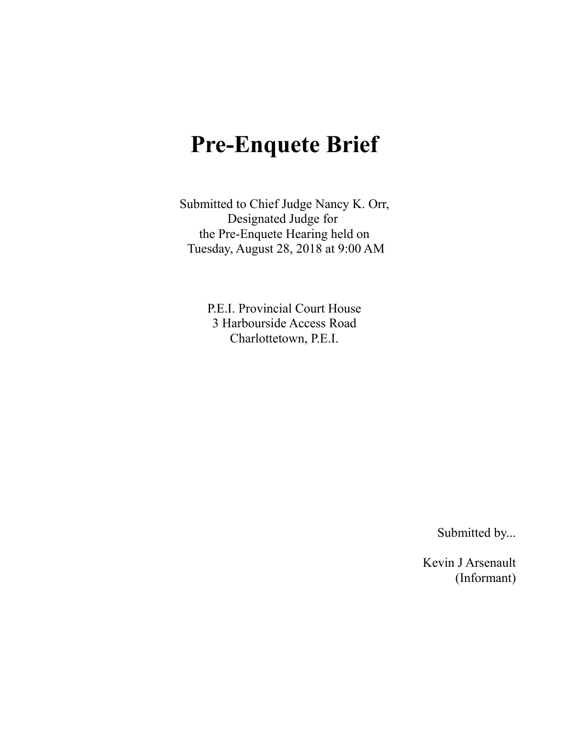# **Pre-Enquete Brief**

Submitted to Chief Judge Nancy K. Orr, Designated Judge for the Pre-Enquete Hearing held on Tuesday, August 28, 2018 at 9:00 AM

> P.E.I. Provincial Court House 3 Harbourside Access Road Charlottetown, P.E.I.

> > Submitted by...

Kevin J Arsenault (Informant)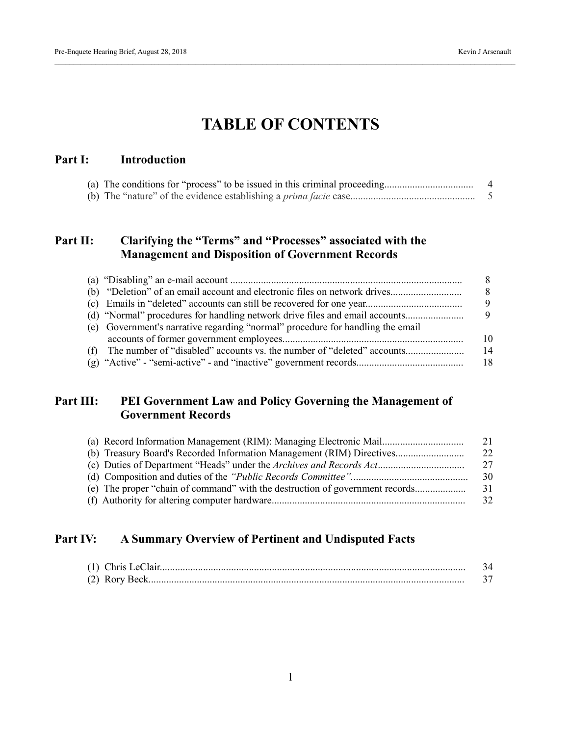# **TABLE OF CONTENTS**

### **Part I: Introduction**

## **Part II: Clarifying the "Terms" and "Processes" associated with the Management and Disposition of Government Records**

|                                                                                | 8.           |
|--------------------------------------------------------------------------------|--------------|
|                                                                                | <sup>8</sup> |
|                                                                                | 9            |
| (d) "Normal" procedures for handling network drive files and email accounts    | 9            |
| (e) Government's narrative regarding "normal" procedure for handling the email |              |
|                                                                                | 10           |
|                                                                                | 14           |
|                                                                                | 18           |

# **Part III: PEI Government Law and Policy Governing the Management of Government Records**

| (a) Record Information Management (RIM): Managing Electronic Mail            | 21  |
|------------------------------------------------------------------------------|-----|
| (b) Treasury Board's Recorded Information Management (RIM) Directives        | -22 |
|                                                                              | -27 |
|                                                                              | -30 |
| (e) The proper "chain of command" with the destruction of government records | 31  |
|                                                                              | -32 |

# **Part IV: A Summary Overview of Pertinent and Undisputed Facts**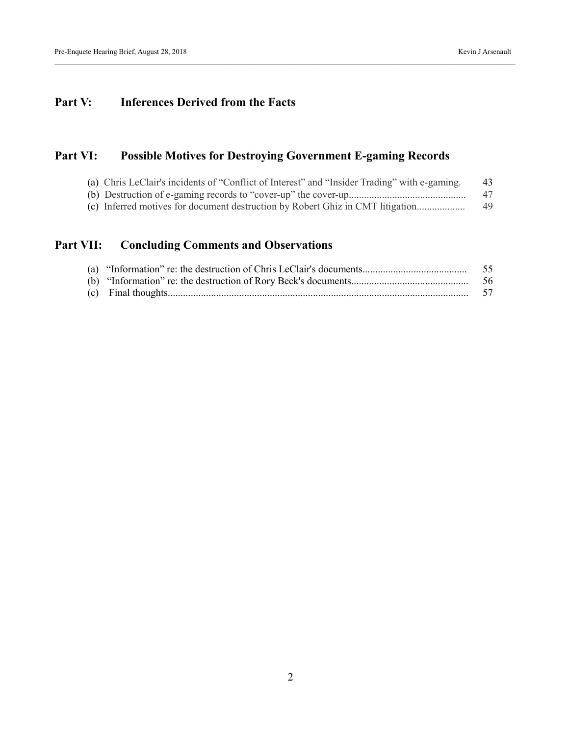# **Part V: Inferences Derived from the Facts**

# **Part VI: Possible Motives for Destroying Government E-gaming Records**

| (a) Chris LeClair's incidents of "Conflict of Interest" and "Insider Trading" with e-gaming. | 43 |
|----------------------------------------------------------------------------------------------|----|
|                                                                                              | 47 |
| (c) Inferred motives for document destruction by Robert Ghiz in CMT litigation               | 49 |

# **Part VII: Concluding Comments and Observations**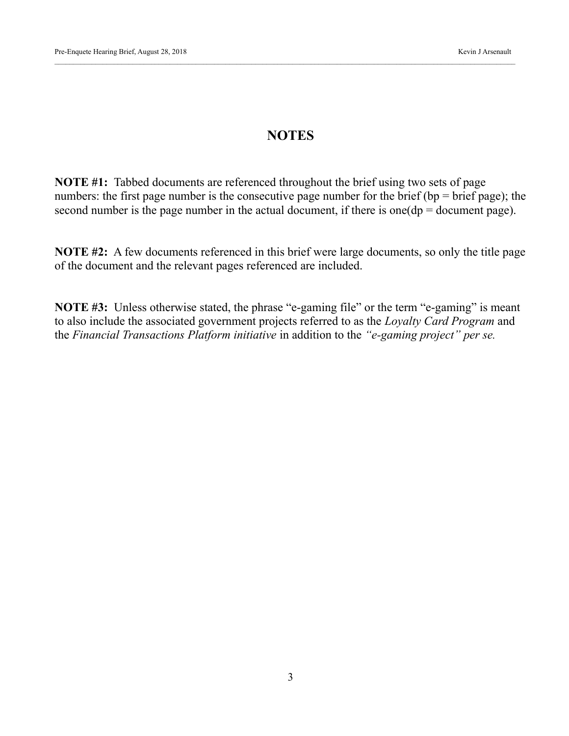# **NOTES**

**NOTE #1:** Tabbed documents are referenced throughout the brief using two sets of page numbers: the first page number is the consecutive page number for the brief (bp = brief page); the second number is the page number in the actual document, if there is one  $(dp = document$  page).

**NOTE #2:** A few documents referenced in this brief were large documents, so only the title page of the document and the relevant pages referenced are included.

**NOTE #3:** Unless otherwise stated, the phrase "e-gaming file" or the term "e-gaming" is meant to also include the associated government projects referred to as the *Loyalty Card Program* and the *Financial Transactions Platform initiative* in addition to the *"e-gaming project" per se.*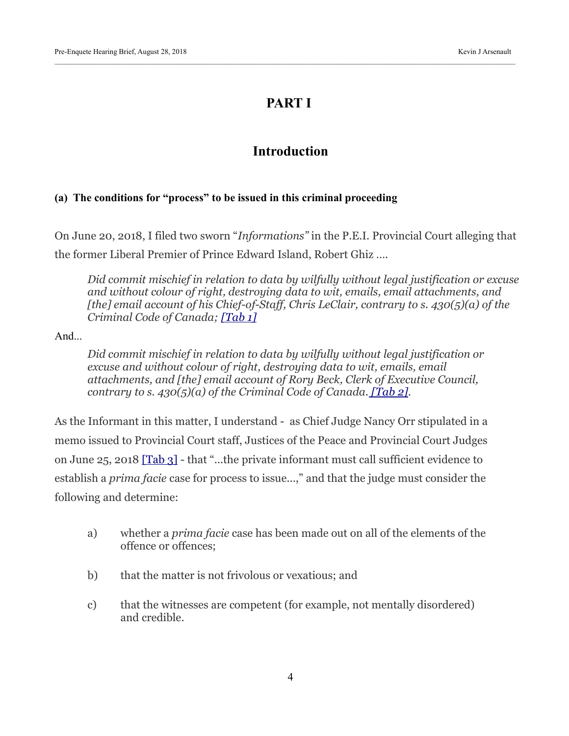# **PART I**

# **Introduction**

#### **(a) The conditions for "process" to be issued in this criminal proceeding**

On June 20, 2018, I filed two sworn "*Informations"* in the P.E.I. Provincial Court alleging that the former Liberal Premier of Prince Edward Island, Robert Ghiz ….

*Did commit mischief in relation to data by wilfully without legal justification or excuse and without colour of right, destroying data to wit, emails, email attachments, and [the] email account of his Chief-of-Staff, Chris LeClair, contrary to s. 430(5)(a) of the Criminal Code of Canada; [\[Tab 1\]](https://kja321.files.wordpress.com/2018/08/tab-1-chris-leclair-information.jpg)*

And...

*Did commit mischief in relation to data by wilfully without legal justification or excuse and without colour of right, destroying data to wit, emails, email attachments, and [the] email account of Rory Beck, Clerk of Executive Council, contrary to s. 430(5)(a) of the Criminal Code of Canada[. \[Tab 2\].](https://kja321.files.wordpress.com/2018/08/tab-2-rory-beck-information-1.jpg)*

As the Informant in this matter, I understand - as Chief Judge Nancy Orr stipulated in a memo issued to Provincial Court staff, Justices of the Peace and Provincial Court Judges on June 25, 2018 [\[Tab 3\]](https://kja321.files.wordpress.com/2018/08/tab-3-nancy-orr-memo.pdf) - that "...the private informant must call sufficient evidence to establish a *prima facie* case for process to issue...," and that the judge must consider the following and determine:

- a) whether a *prima facie* case has been made out on all of the elements of the offence or offences;
- b) that the matter is not frivolous or vexatious; and
- c) that the witnesses are competent (for example, not mentally disordered) and credible.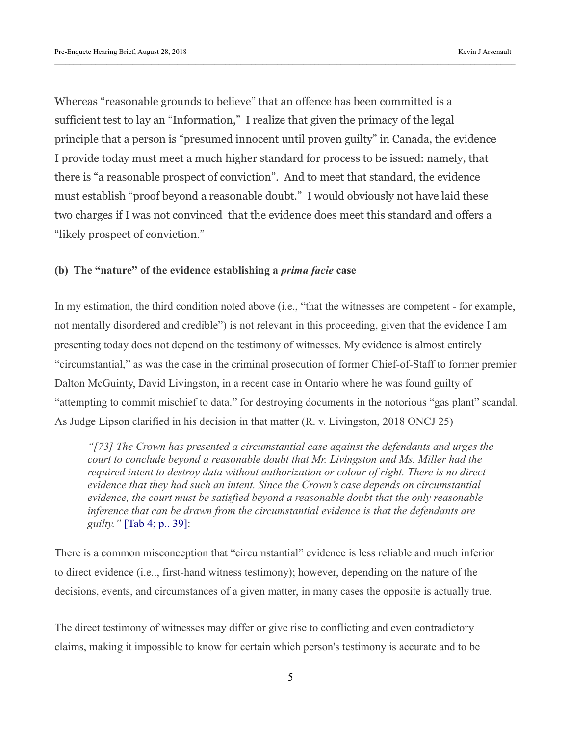Whereas "reasonable grounds to believe" that an offence has been committed is a sufficient test to lay an "Information," I realize that given the primacy of the legal principle that a person is "presumed innocent until proven guilty" in Canada, the evidence I provide today must meet a much higher standard for process to be issued: namely, that there is "a reasonable prospect of conviction". And to meet that standard, the evidence must establish "proof beyond a reasonable doubt." I would obviously not have laid these two charges if I was not convinced that the evidence does meet this standard and offers a "likely prospect of conviction."

#### **(b) The "nature" of the evidence establishing a** *prima facie* **case**

In my estimation, the third condition noted above (i.e., "that the witnesses are competent - for example, not mentally disordered and credible") is not relevant in this proceeding, given that the evidence I am presenting today does not depend on the testimony of witnesses. My evidence is almost entirely "circumstantial," as was the case in the criminal prosecution of former Chief-of-Staff to former premier Dalton McGuinty, David Livingston, in a recent case in Ontario where he was found guilty of "attempting to commit mischief to data." for destroying documents in the notorious "gas plant" scandal. As Judge Lipson clarified in his decision in that matter (R. v. Livingston, 2018 ONCJ 25)

*"[73] The Crown has presented a circumstantial case against the defendants and urges the court to conclude beyond a reasonable doubt that Mr. Livingston and Ms. Miller had the required intent to destroy data without authorization or colour of right. There is no direct evidence that they had such an intent. Since the Crown's case depends on circumstantial evidence, the court must be satisfied beyond a reasonable doubt that the only reasonable inference that can be drawn from the circumstantial evidence is that the defendants are guilty."* [\[Tab 4; p.. 39\]:](https://kja321.files.wordpress.com/2018/08/tab-4-r-v-livingston.pdf)

There is a common misconception that "circumstantial" evidence is less reliable and much inferior to direct evidence (i.e.., first-hand witness testimony); however, depending on the nature of the decisions, events, and circumstances of a given matter, in many cases the opposite is actually true.

The direct testimony of witnesses may differ or give rise to conflicting and even contradictory claims, making it impossible to know for certain which person's testimony is accurate and to be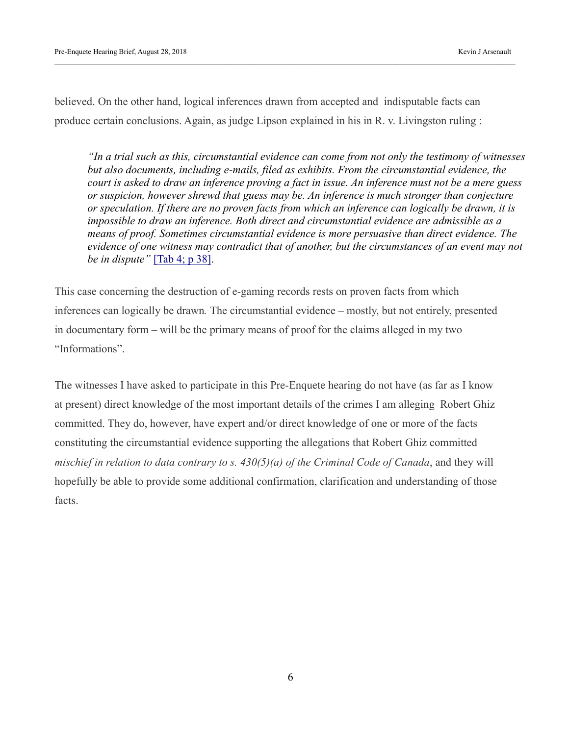believed. On the other hand, logical inferences drawn from accepted and indisputable facts can produce certain conclusions. Again, as judge Lipson explained in his in R. v. Livingston ruling :

*"In a trial such as this, circumstantial evidence can come from not only the testimony of witnesses but also documents, including e-mails, filed as exhibits. From the circumstantial evidence, the court is asked to draw an inference proving a fact in issue. An inference must not be a mere guess or suspicion, however shrewd that guess may be. An inference is much stronger than conjecture or speculation. If there are no proven facts from which an inference can logically be drawn, it is impossible to draw an inference. Both direct and circumstantial evidence are admissible as a means of proof. Sometimes circumstantial evidence is more persuasive than direct evidence. The evidence of one witness may contradict that of another, but the circumstances of an event may not be in dispute"* [\[Tab 4; p 38\].](https://kja321.files.wordpress.com/2018/08/tab-4-r-v-livingston.pdf)

This case concerning the destruction of e-gaming records rests on proven facts from which inferences can logically be drawn*.* The circumstantial evidence – mostly, but not entirely, presented in documentary form – will be the primary means of proof for the claims alleged in my two "Informations".

The witnesses I have asked to participate in this Pre-Enquete hearing do not have (as far as I know at present) direct knowledge of the most important details of the crimes I am alleging Robert Ghiz committed. They do, however, have expert and/or direct knowledge of one or more of the facts constituting the circumstantial evidence supporting the allegations that Robert Ghiz committed *mischief in relation to data contrary to s. 430(5)(a) of the Criminal Code of Canada*, and they will hopefully be able to provide some additional confirmation, clarification and understanding of those facts.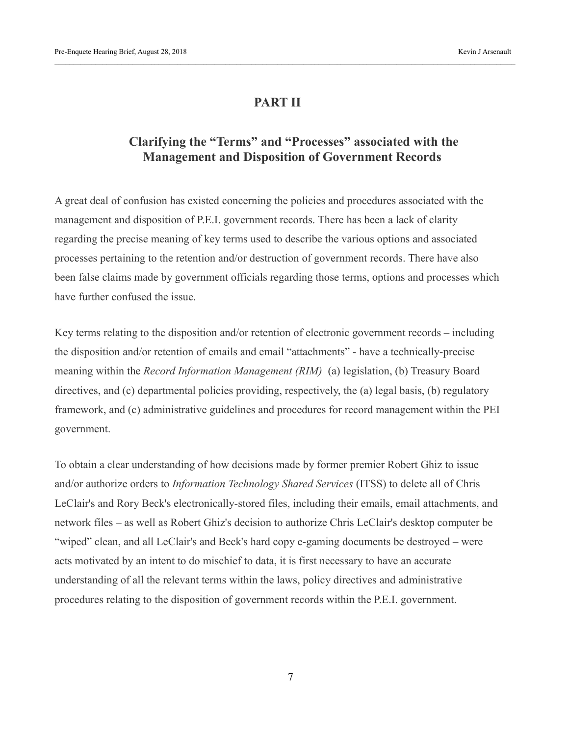### **PART II**

# **Clarifying the "Terms" and "Processes" associated with the Management and Disposition of Government Records**

A great deal of confusion has existed concerning the policies and procedures associated with the management and disposition of P.E.I. government records. There has been a lack of clarity regarding the precise meaning of key terms used to describe the various options and associated processes pertaining to the retention and/or destruction of government records. There have also been false claims made by government officials regarding those terms, options and processes which have further confused the issue.

Key terms relating to the disposition and/or retention of electronic government records – including the disposition and/or retention of emails and email "attachments" - have a technically-precise meaning within the *Record Information Management (RIM)* (a) legislation, (b) Treasury Board directives, and (c) departmental policies providing, respectively, the (a) legal basis, (b) regulatory framework, and (c) administrative guidelines and procedures for record management within the PEI government.

To obtain a clear understanding of how decisions made by former premier Robert Ghiz to issue and/or authorize orders to *Information Technology Shared Services* (ITSS) to delete all of Chris LeClair's and Rory Beck's electronically-stored files, including their emails, email attachments, and network files – as well as Robert Ghiz's decision to authorize Chris LeClair's desktop computer be "wiped" clean, and all LeClair's and Beck's hard copy e-gaming documents be destroyed – were acts motivated by an intent to do mischief to data, it is first necessary to have an accurate understanding of all the relevant terms within the laws, policy directives and administrative procedures relating to the disposition of government records within the P.E.I. government.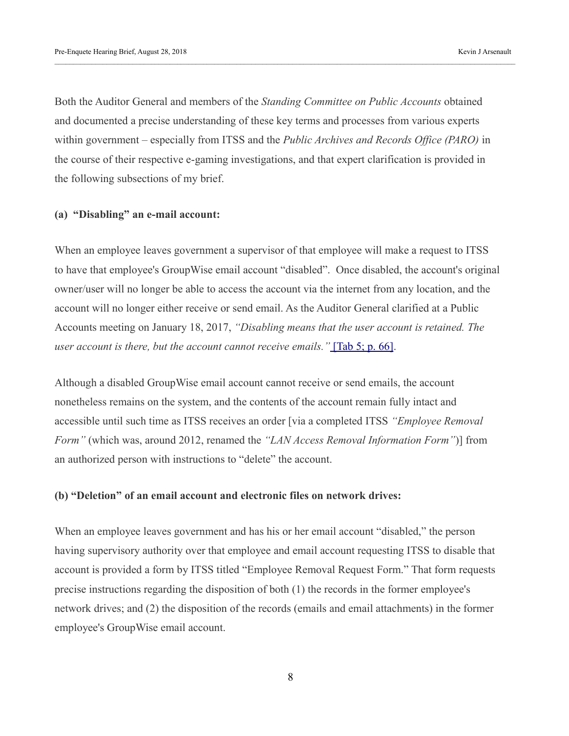Both the Auditor General and members of the *Standing Committee on Public Accounts* obtained and documented a precise understanding of these key terms and processes from various experts within government – especially from ITSS and the *Public Archives and Records Office (PARO)* in the course of their respective e-gaming investigations, and that expert clarification is provided in the following subsections of my brief.

#### **(a) "Disabling" an e-mail account:**

When an employee leaves government a supervisor of that employee will make a request to ITSS to have that employee's GroupWise email account "disabled". Once disabled, the account's original owner/user will no longer be able to access the account via the internet from any location, and the account will no longer either receive or send email. As the Auditor General clarified at a Public Accounts meeting on January 18, 2017, *"Disabling means that the user account is retained. The user account is there, but the account cannot receive emails."* [\[Tab 5; p. 66\].](https://kja321.files.wordpress.com/2018/08/tab-5-january-18-2017-public-accounts-transcript.pdf)

Although a disabled GroupWise email account cannot receive or send emails, the account nonetheless remains on the system, and the contents of the account remain fully intact and accessible until such time as ITSS receives an order [via a completed ITSS *"Employee Removal Form"* (which was, around 2012, renamed the *"LAN Access Removal Information Form"*)] from an authorized person with instructions to "delete" the account.

#### **(b) "Deletion" of an email account and electronic files on network drives:**

When an employee leaves government and has his or her email account "disabled," the person having supervisory authority over that employee and email account requesting ITSS to disable that account is provided a form by ITSS titled "Employee Removal Request Form." That form requests precise instructions regarding the disposition of both (1) the records in the former employee's network drives; and (2) the disposition of the records (emails and email attachments) in the former employee's GroupWise email account.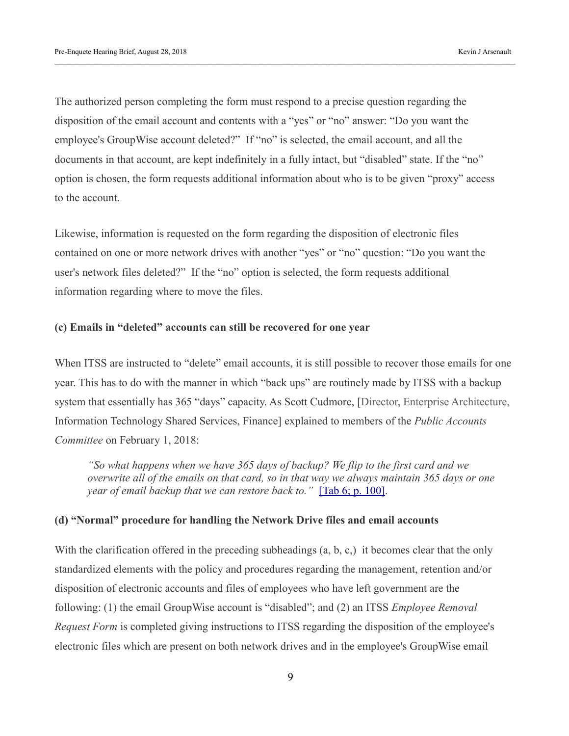The authorized person completing the form must respond to a precise question regarding the disposition of the email account and contents with a "yes" or "no" answer: "Do you want the employee's GroupWise account deleted?" If "no" is selected, the email account, and all the documents in that account, are kept indefinitely in a fully intact, but "disabled" state. If the "no" option is chosen, the form requests additional information about who is to be given "proxy" access to the account.

Likewise, information is requested on the form regarding the disposition of electronic files contained on one or more network drives with another "yes" or "no" question: "Do you want the user's network files deleted?" If the "no" option is selected, the form requests additional information regarding where to move the files.

#### **(c) Emails in "deleted" accounts can still be recovered for one year**

When ITSS are instructed to "delete" email accounts, it is still possible to recover those emails for one year. This has to do with the manner in which "back ups" are routinely made by ITSS with a backup system that essentially has 365 "days" capacity. As Scott Cudmore, [Director, Enterprise Architecture, Information Technology Shared Services, Finance] explained to members of the *Public Accounts Committee* on February 1, 2018:

*"So what happens when we have 365 days of backup? We flip to the first card and we overwrite all of the emails on that card, so in that way we always maintain 365 days or one year of email backup that we can restore back to.*" [\[Tab 6; p. 100\].](https://kja321.files.wordpress.com/2018/08/tab-6-public-accounts-committee-meeting-february-1-2017.pdf)

#### **(d) "Normal" procedure for handling the Network Drive files and email accounts**

With the clarification offered in the preceding subheadings (a, b, c,) it becomes clear that the only standardized elements with the policy and procedures regarding the management, retention and/or disposition of electronic accounts and files of employees who have left government are the following: (1) the email GroupWise account is "disabled"; and (2) an ITSS *Employee Removal Request Form* is completed giving instructions to ITSS regarding the disposition of the employee's electronic files which are present on both network drives and in the employee's GroupWise email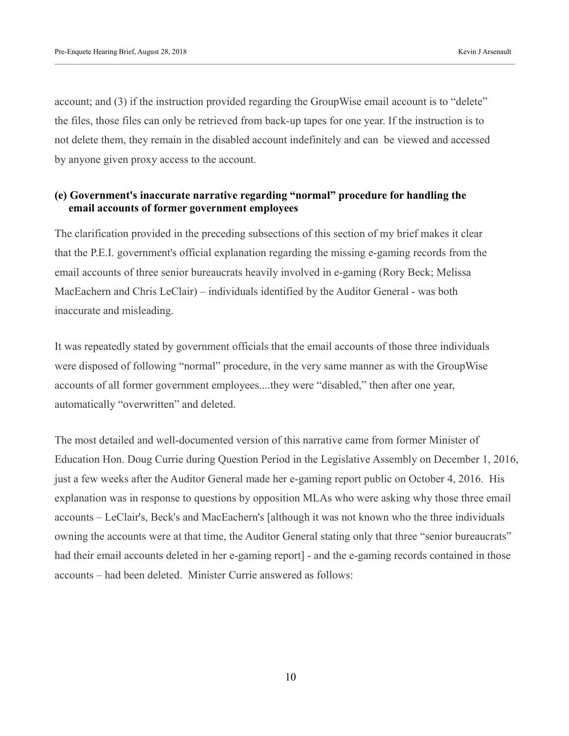account; and (3) if the instruction provided regarding the GroupWise email account is to "delete" the files, those files can only be retrieved from back-up tapes for one year. If the instruction is to not delete them, they remain in the disabled account indefinitely and can be viewed and accessed by anyone given proxy access to the account.

#### **(e) Government's inaccurate narrative regarding "normal" procedure for handling the email accounts of former government employees**

The clarification provided in the preceding subsections of this section of my brief makes it clear that the P.E.I. government's official explanation regarding the missing e-gaming records from the email accounts of three senior bureaucrats heavily involved in e-gaming (Rory Beck; Melissa MacEachern and Chris LeClair) – individuals identified by the Auditor General - was both inaccurate and misleading.

It was repeatedly stated by government officials that the email accounts of those three individuals were disposed of following "normal" procedure, in the very same manner as with the GroupWise accounts of all former government employees....they were "disabled," then after one year, automatically "overwritten" and deleted.

The most detailed and well-documented version of this narrative came from former Minister of Education Hon. Doug Currie during Question Period in the Legislative Assembly on December 1, 2016, just a few weeks after the Auditor General made her e-gaming report public on October 4, 2016. His explanation was in response to questions by opposition MLAs who were asking why those three email accounts – LeClair's, Beck's and MacEachern's [although it was not known who the three individuals owning the accounts were at that time, the Auditor General stating only that three "senior bureaucrats" had their email accounts deleted in her e-gaming report] - and the e-gaming records contained in those accounts – had been deleted. Minister Currie answered as follows: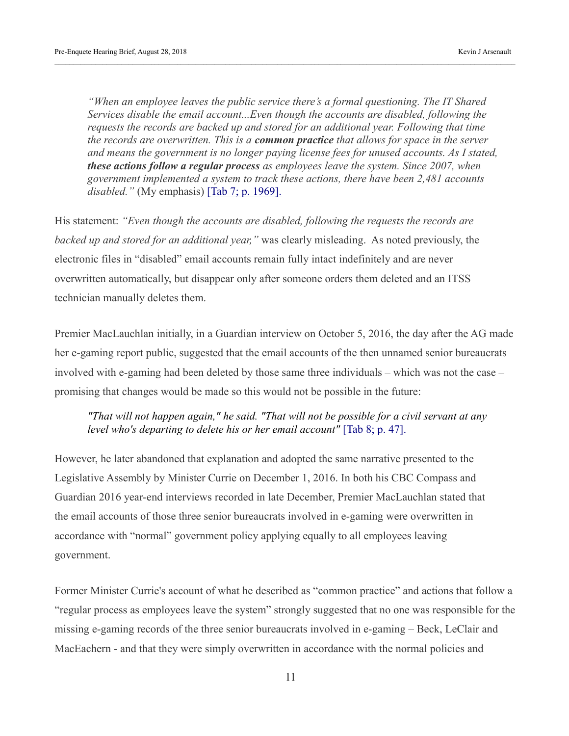*"When an employee leaves the public service there's a formal questioning. The IT Shared Services disable the email account...Even though the accounts are disabled, following the requests the records are backed up and stored for an additional year. Following that time the records are overwritten. This is a common practice that allows for space in the server and means the government is no longer paying license fees for unused accounts. As I stated, these actions follow a regular process as employees leave the system. Since 2007, when government implemented a system to track these actions, there have been 2,481 accounts disabled.*" (My emphasis) **Tab 7; p. 1969**.

His statement: *"Even though the accounts are disabled, following the requests the records are backed up and stored for an additional year,"* was clearly misleading. As noted previously, the electronic files in "disabled" email accounts remain fully intact indefinitely and are never overwritten automatically, but disappear only after someone orders them deleted and an ITSS technician manually deletes them.

Premier MacLauchlan initially, in a Guardian interview on October 5, 2016, the day after the AG made her e-gaming report public, suggested that the email accounts of the then unnamed senior bureaucrats involved with e-gaming had been deleted by those same three individuals – which was not the case – promising that changes would be made so this would not be possible in the future:

*"That will not happen again," he said. "That will not be possible for a civil servant at any level who's departing to delete his or her email account"* [\[Tab 8; p. 47\].](https://kja321.files.wordpress.com/2018/08/tab-8-p-e-i-opposition-seeks-censure-for-civil-servants-who-broke-rules-on-e-gaming-_-cbc-news.pdf)

However, he later abandoned that explanation and adopted the same narrative presented to the Legislative Assembly by Minister Currie on December 1, 2016. In both his CBC Compass and Guardian 2016 year-end interviews recorded in late December, Premier MacLauchlan stated that the email accounts of those three senior bureaucrats involved in e-gaming were overwritten in accordance with "normal" government policy applying equally to all employees leaving government.

Former Minister Currie's account of what he described as "common practice" and actions that follow a "regular process as employees leave the system" strongly suggested that no one was responsible for the missing e-gaming records of the three senior bureaucrats involved in e-gaming – Beck, LeClair and MacEachern - and that they were simply overwritten in accordance with the normal policies and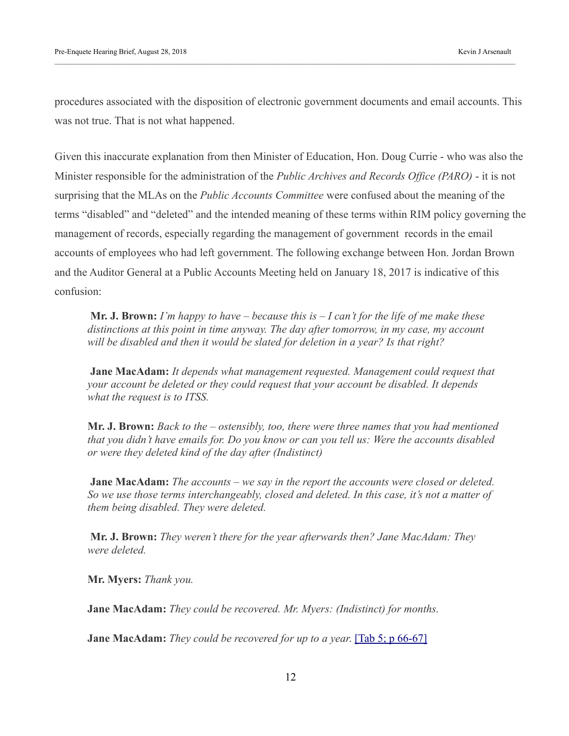procedures associated with the disposition of electronic government documents and email accounts. This was not true. That is not what happened.

Given this inaccurate explanation from then Minister of Education, Hon. Doug Currie - who was also the Minister responsible for the administration of the *Public Archives and Records Office (PARO)* - it is not surprising that the MLAs on the *Public Accounts Committee* were confused about the meaning of the terms "disabled" and "deleted" and the intended meaning of these terms within RIM policy governing the management of records, especially regarding the management of government records in the email accounts of employees who had left government. The following exchange between Hon. Jordan Brown and the Auditor General at a Public Accounts Meeting held on January 18, 2017 is indicative of this confusion:

**Mr. J. Brown:** *I'm happy to have – because this is – I can't for the life of me make these distinctions at this point in time anyway. The day after tomorrow, in my case, my account will be disabled and then it would be slated for deletion in a year? Is that right?*

 **Jane MacAdam:** *It depends what management requested. Management could request that your account be deleted or they could request that your account be disabled. It depends what the request is to ITSS.* 

**Mr. J. Brown:** *Back to the – ostensibly, too, there were three names that you had mentioned that you didn't have emails for. Do you know or can you tell us: Were the accounts disabled or were they deleted kind of the day after (Indistinct)*

 **Jane MacAdam:** *The accounts – we say in the report the accounts were closed or deleted. So we use those terms interchangeably, closed and deleted. In this case, it's not a matter of them being disabled. They were deleted.*

 **Mr. J. Brown:** *They weren't there for the year afterwards then? Jane MacAdam: They were deleted.* 

**Mr. Myers:** *Thank you.* 

**Jane MacAdam:** *They could be recovered. Mr. Myers: (Indistinct) for months.* 

**Jane MacAdam:** *They could be recovered for up to a year*. [\[Tab 5; p 66-67\]](https://kja321.files.wordpress.com/2018/08/tab-5-january-18-2017-public-accounts-transcript.pdf)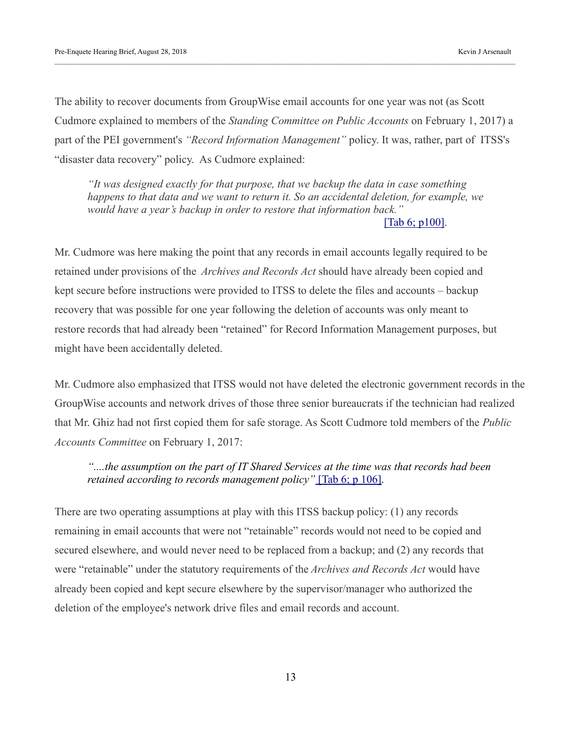The ability to recover documents from GroupWise email accounts for one year was not (as Scott Cudmore explained to members of the *Standing Committee on Public Accounts* on February 1, 2017) a part of the PEI government's *"Record Information Management"* policy. It was, rather, part of ITSS's "disaster data recovery" policy. As Cudmore explained:

*"It was designed exactly for that purpose, that we backup the data in case something happens to that data and we want to return it. So an accidental deletion, for example, we would have a year's backup in order to restore that information back."*  [\[Tab 6; p100\].](https://kja321.files.wordpress.com/2018/08/tab-6-public-accounts-committee-meeting-february-1-2017.pdf)

Mr. Cudmore was here making the point that any records in email accounts legally required to be retained under provisions of the *Archives and Records Act* should have already been copied and kept secure before instructions were provided to ITSS to delete the files and accounts – backup recovery that was possible for one year following the deletion of accounts was only meant to restore records that had already been "retained" for Record Information Management purposes, but might have been accidentally deleted.

Mr. Cudmore also emphasized that ITSS would not have deleted the electronic government records in the GroupWise accounts and network drives of those three senior bureaucrats if the technician had realized that Mr. Ghiz had not first copied them for safe storage. As Scott Cudmore told members of the *Public Accounts Committee* on February 1, 2017:

#### *"....the assumption on the part of IT Shared Services at the time was that records had been retained according to records management policy*" [\[Tab 6; p 106\].](https://kja321.files.wordpress.com/2018/08/tab-6-public-accounts-committee-meeting-february-1-2017.pdf)

There are two operating assumptions at play with this ITSS backup policy: (1) any records remaining in email accounts that were not "retainable" records would not need to be copied and secured elsewhere, and would never need to be replaced from a backup; and (2) any records that were "retainable" under the statutory requirements of the *Archives and Records Act* would have already been copied and kept secure elsewhere by the supervisor/manager who authorized the deletion of the employee's network drive files and email records and account.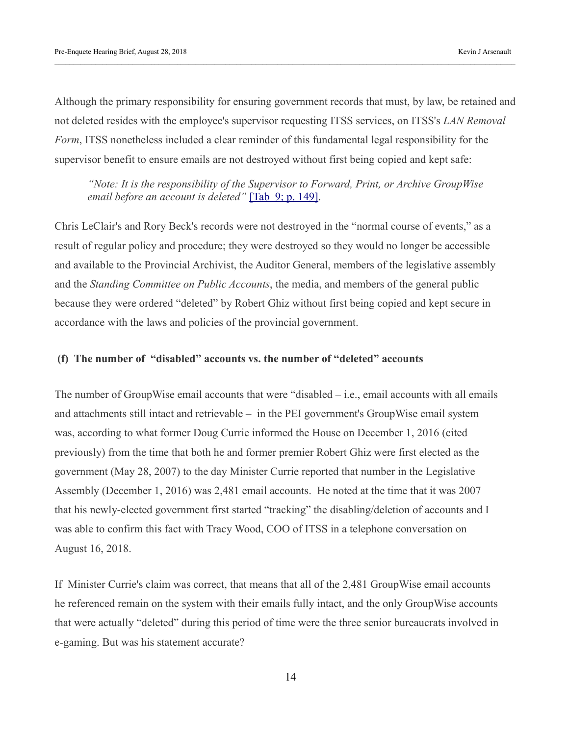Although the primary responsibility for ensuring government records that must, by law, be retained and not deleted resides with the employee's supervisor requesting ITSS services, on ITSS's *LAN Removal Form*, ITSS nonetheless included a clear reminder of this fundamental legal responsibility for the supervisor benefit to ensure emails are not destroyed without first being copied and kept safe:

*"Note: It is the responsibility of the Supervisor to Forward, Print, or Archive GroupWise email before an account is deleted*" [\[Tab 9; p. 149\].](https://kja321.files.wordpress.com/2018/08/tab-9-blank-lan-removal-form.jpg)

Chris LeClair's and Rory Beck's records were not destroyed in the "normal course of events," as a result of regular policy and procedure; they were destroyed so they would no longer be accessible and available to the Provincial Archivist, the Auditor General, members of the legislative assembly and the *Standing Committee on Public Accounts*, the media, and members of the general public because they were ordered "deleted" by Robert Ghiz without first being copied and kept secure in accordance with the laws and policies of the provincial government.

#### **(f) The number of "disabled" accounts vs. the number of "deleted" accounts**

The number of GroupWise email accounts that were "disabled – i.e., email accounts with all emails and attachments still intact and retrievable – in the PEI government's GroupWise email system was, according to what former Doug Currie informed the House on December 1, 2016 (cited previously) from the time that both he and former premier Robert Ghiz were first elected as the government (May 28, 2007) to the day Minister Currie reported that number in the Legislative Assembly (December 1, 2016) was 2,481 email accounts. He noted at the time that it was 2007 that his newly-elected government first started "tracking" the disabling/deletion of accounts and I was able to confirm this fact with Tracy Wood, COO of ITSS in a telephone conversation on August 16, 2018.

If Minister Currie's claim was correct, that means that all of the 2,481 GroupWise email accounts he referenced remain on the system with their emails fully intact, and the only GroupWise accounts that were actually "deleted" during this period of time were the three senior bureaucrats involved in e-gaming. But was his statement accurate?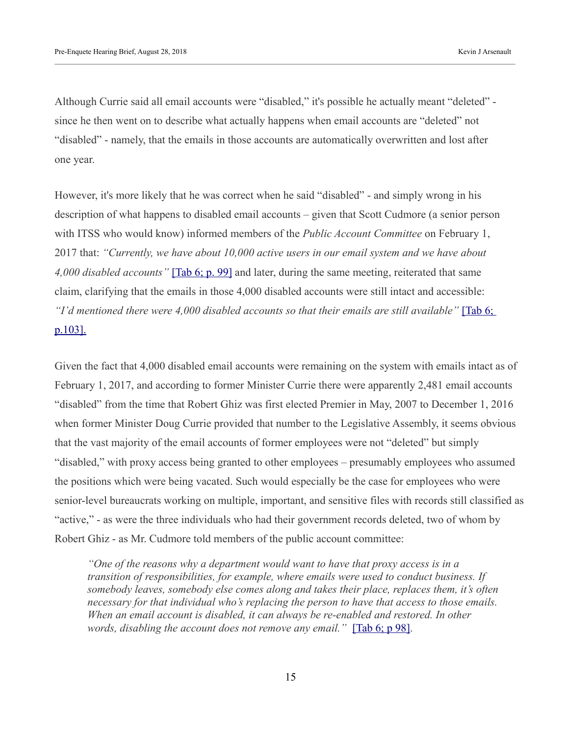Although Currie said all email accounts were "disabled," it's possible he actually meant "deleted" since he then went on to describe what actually happens when email accounts are "deleted" not "disabled" - namely, that the emails in those accounts are automatically overwritten and lost after one year.

However, it's more likely that he was correct when he said "disabled" - and simply wrong in his description of what happens to disabled email accounts – given that Scott Cudmore (a senior person with ITSS who would know) informed members of the *Public Account Committee* on February 1, 2017 that: *"Currently, we have about 10,000 active users in our email system and we have about 4,000 disabled accounts"* [\[Tab 6; p. 99\]](https://kja321.files.wordpress.com/2018/08/tab-6-public-accounts-committee-meeting-february-1-2017.pdf) and later, during the same meeting, reiterated that same claim, clarifying that the emails in those 4,000 disabled accounts were still intact and accessible: *"I'd mentioned there were 4,000 disabled accounts so that their emails are still available"* [\[Tab 6;](https://kja321.files.wordpress.com/2018/08/tab-6-public-accounts-committee-meeting-february-1-2017.pdf)  [p.103\].](https://kja321.files.wordpress.com/2018/08/tab-6-public-accounts-committee-meeting-february-1-2017.pdf)

Given the fact that 4,000 disabled email accounts were remaining on the system with emails intact as of February 1, 2017, and according to former Minister Currie there were apparently 2,481 email accounts "disabled" from the time that Robert Ghiz was first elected Premier in May, 2007 to December 1, 2016 when former Minister Doug Currie provided that number to the Legislative Assembly, it seems obvious that the vast majority of the email accounts of former employees were not "deleted" but simply "disabled," with proxy access being granted to other employees – presumably employees who assumed the positions which were being vacated. Such would especially be the case for employees who were senior-level bureaucrats working on multiple, important, and sensitive files with records still classified as "active," - as were the three individuals who had their government records deleted, two of whom by Robert Ghiz - as Mr. Cudmore told members of the public account committee:

*"One of the reasons why a department would want to have that proxy access is in a transition of responsibilities, for example, where emails were used to conduct business. If somebody leaves, somebody else comes along and takes their place, replaces them, it's often necessary for that individual who's replacing the person to have that access to those emails. When an email account is disabled, it can always be re-enabled and restored. In other words, disabling the account does not remove any email.*" [\[Tab 6; p 98\].](https://kja321.files.wordpress.com/2018/08/tab-6-public-accounts-committee-meeting-february-1-2017.pdf)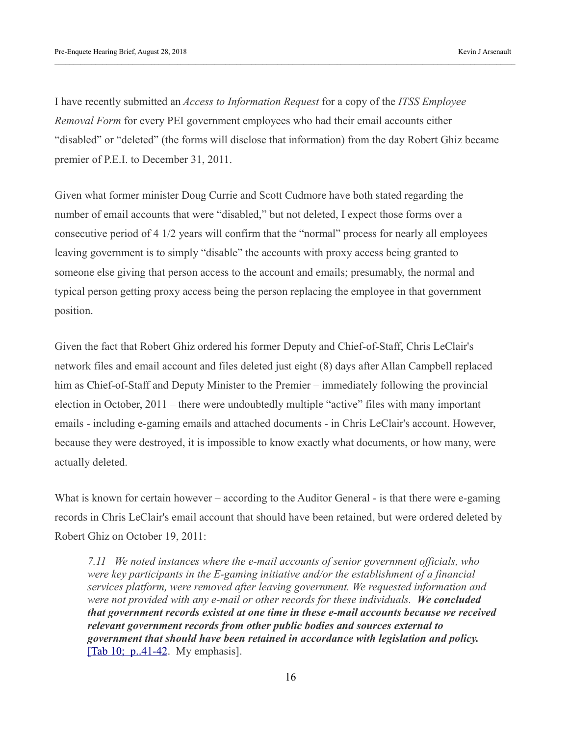I have recently submitted an *Access to Information Request* for a copy of the *ITSS Employee Removal Form* for every PEI government employees who had their email accounts either "disabled" or "deleted" (the forms will disclose that information) from the day Robert Ghiz became premier of P.E.I. to December 31, 2011.

Given what former minister Doug Currie and Scott Cudmore have both stated regarding the number of email accounts that were "disabled," but not deleted, I expect those forms over a consecutive period of 4 1/2 years will confirm that the "normal" process for nearly all employees leaving government is to simply "disable" the accounts with proxy access being granted to someone else giving that person access to the account and emails; presumably, the normal and typical person getting proxy access being the person replacing the employee in that government position.

Given the fact that Robert Ghiz ordered his former Deputy and Chief-of-Staff, Chris LeClair's network files and email account and files deleted just eight (8) days after Allan Campbell replaced him as Chief-of-Staff and Deputy Minister to the Premier – immediately following the provincial election in October, 2011 – there were undoubtedly multiple "active" files with many important emails - including e-gaming emails and attached documents - in Chris LeClair's account. However, because they were destroyed, it is impossible to know exactly what documents, or how many, were actually deleted.

What is known for certain however – according to the Auditor General - is that there were e-gaming records in Chris LeClair's email account that should have been retained, but were ordered deleted by Robert Ghiz on October 19, 2011:

*7.11 We noted instances where the e-mail accounts of senior government officials, who were key participants in the E-gaming initiative and/or the establishment of a financial services platform, were removed after leaving government. We requested information and were not provided with any e-mail or other records for these individuals. We concluded that government records existed at one time in these e-mail accounts because we received relevant government records from other public bodies and sources external to government that should have been retained in accordance with legislation and policy.*  [Tab  $10$ ; p. 41-42. My emphasis].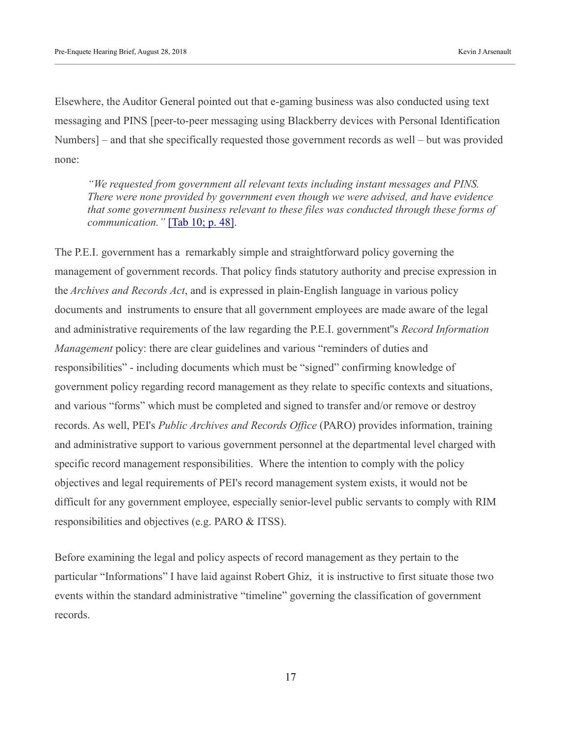Elsewhere, the Auditor General pointed out that e-gaming business was also conducted using text messaging and PINS [peer-to-peer messaging using Blackberry devices with Personal Identification Numbers] – and that she specifically requested those government records as well – but was provided none:

*"We requested from government all relevant texts including instant messages and PINS. There were none provided by government even though we were advised, and have evidence that some government business relevant to these files was conducted through these forms of communication."* [\[Tab 10; p. 48\].](https://kja321.files.wordpress.com/2018/08/tab-10-auditor-general-report-on-egaming.pdf)

The P.E.I. government has a remarkably simple and straightforward policy governing the management of government records. That policy finds statutory authority and precise expression in the *Archives and Records Act*, and is expressed in plain-English language in various policy documents and instruments to ensure that all government employees are made aware of the legal and administrative requirements of the law regarding the P.E.I. government''s *Record Information Management* policy: there are clear guidelines and various "reminders of duties and responsibilities" - including documents which must be "signed" confirming knowledge of government policy regarding record management as they relate to specific contexts and situations, and various "forms" which must be completed and signed to transfer and/or remove or destroy records. As well, PEI's *Public Archives and Records Office* (PARO) provides information, training and administrative support to various government personnel at the departmental level charged with specific record management responsibilities. Where the intention to comply with the policy objectives and legal requirements of PEI's record management system exists, it would not be difficult for any government employee, especially senior-level public servants to comply with RIM responsibilities and objectives (e.g. PARO & ITSS).

Before examining the legal and policy aspects of record management as they pertain to the particular "Informations" I have laid against Robert Ghiz, it is instructive to first situate those two events within the standard administrative "timeline" governing the classification of government records.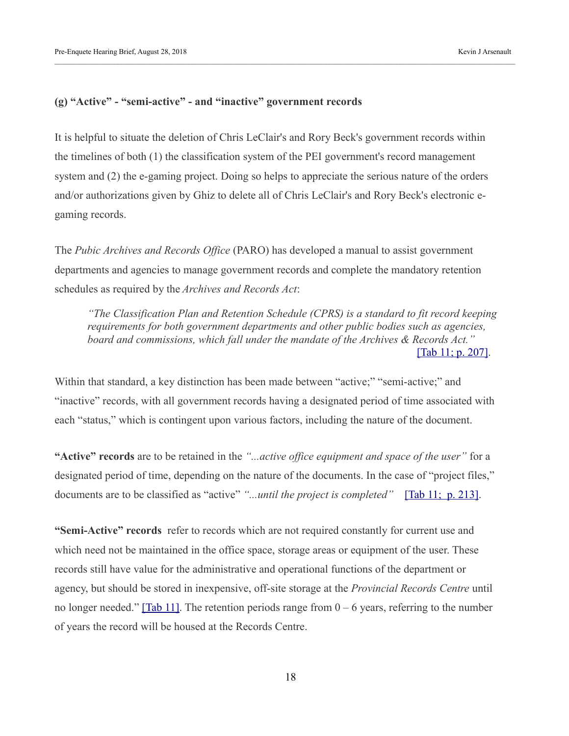#### **(g) "Active" - "semi-active" - and "inactive" government records**

It is helpful to situate the deletion of Chris LeClair's and Rory Beck's government records within the timelines of both (1) the classification system of the PEI government's record management system and (2) the e-gaming project. Doing so helps to appreciate the serious nature of the orders and/or authorizations given by Ghiz to delete all of Chris LeClair's and Rory Beck's electronic egaming records.

The *Pubic Archives and Records Office* (PARO) has developed a manual to assist government departments and agencies to manage government records and complete the mandatory retention schedules as required by the *Archives and Records Act*:

*"The Classification Plan and Retention Schedule (CPRS) is a standard to fit record keeping requirements for both government departments and other public bodies such as agencies, board and commissions, which fall under the mandate of the Archives & Records Act."*  [\[Tab 11; p. 207\].](https://kja321.files.wordpress.com/2018/08/tab-11-classification-plan-and-retention-schedules.pdf)

Within that standard, a key distinction has been made between "active;" "semi-active;" and "inactive" records, with all government records having a designated period of time associated with each "status," which is contingent upon various factors, including the nature of the document.

**"Active" records** are to be retained in the *"...active office equipment and space of the user"* for a designated period of time, depending on the nature of the documents. In the case of "project files," documents are to be classified as "active" "...until the project is completed" [\[Tab 11; p. 213\].](https://kja321.files.wordpress.com/2018/08/tab-11-classification-plan-and-retention-schedules.pdf)

**"Semi-Active" records** refer to records which are not required constantly for current use and which need not be maintained in the office space, storage areas or equipment of the user. These records still have value for the administrative and operational functions of the department or agency, but should be stored in inexpensive, off-site storage at the *Provincial Records Centre* until no longer needed." [\[Tab 11\].](https://kja321.files.wordpress.com/2018/08/tab-11-classification-plan-and-retention-schedules.pdf) The retention periods range from  $0 - 6$  years, referring to the number of years the record will be housed at the Records Centre.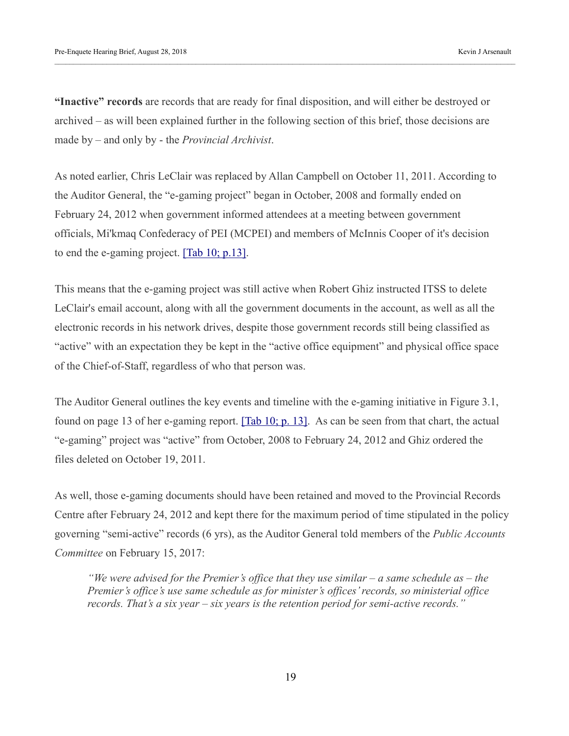**"Inactive" records** are records that are ready for final disposition, and will either be destroyed or archived – as will been explained further in the following section of this brief, those decisions are made by – and only by - the *Provincial Archivist*.

As noted earlier, Chris LeClair was replaced by Allan Campbell on October 11, 2011. According to the Auditor General, the "e-gaming project" began in October, 2008 and formally ended on February 24, 2012 when government informed attendees at a meeting between government officials, Mi'kmaq Confederacy of PEI (MCPEI) and members of McInnis Cooper of it's decision to end the e-gaming project.  $[Tab 10; p.13]$ .

This means that the e-gaming project was still active when Robert Ghiz instructed ITSS to delete LeClair's email account, along with all the government documents in the account, as well as all the electronic records in his network drives, despite those government records still being classified as "active" with an expectation they be kept in the "active office equipment" and physical office space of the Chief-of-Staff, regardless of who that person was.

The Auditor General outlines the key events and timeline with the e-gaming initiative in Figure 3.1, found on page 13 of her e-gaming report. [\[Tab 10; p. 13\].](https://kja321.files.wordpress.com/2018/08/tab-10-auditor-general-report-on-egaming.pdf) As can be seen from that chart, the actual "e-gaming" project was "active" from October, 2008 to February 24, 2012 and Ghiz ordered the files deleted on October 19, 2011.

As well, those e-gaming documents should have been retained and moved to the Provincial Records Centre after February 24, 2012 and kept there for the maximum period of time stipulated in the policy governing "semi-active" records (6 yrs), as the Auditor General told members of the *Public Accounts Committee* on February 15, 2017:

*"We were advised for the Premier's office that they use similar – a same schedule as – the Premier's office's use same schedule as for minister's offices' records, so ministerial office records. That's a six year – six years is the retention period for semi-active records."*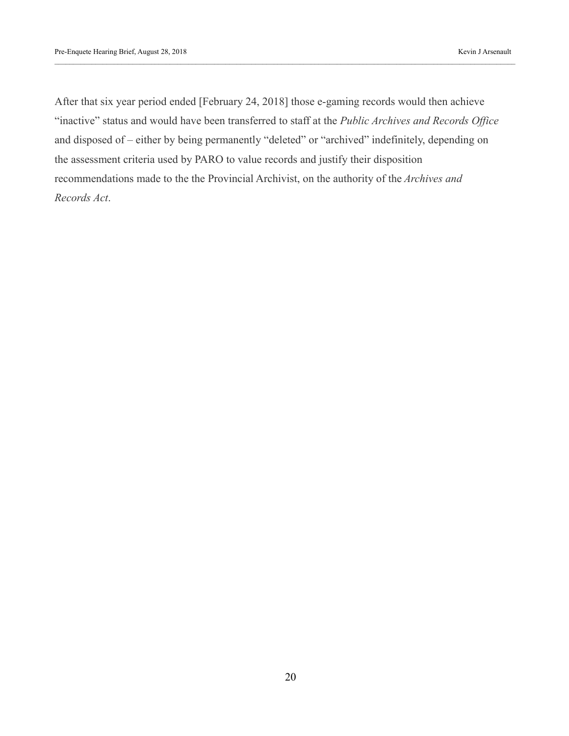After that six year period ended [February 24, 2018] those e-gaming records would then achieve "inactive" status and would have been transferred to staff at the *Public Archives and Records Office* and disposed of – either by being permanently "deleted" or "archived" indefinitely, depending on the assessment criteria used by PARO to value records and justify their disposition recommendations made to the the Provincial Archivist, on the authority of the *Archives and Records Act*.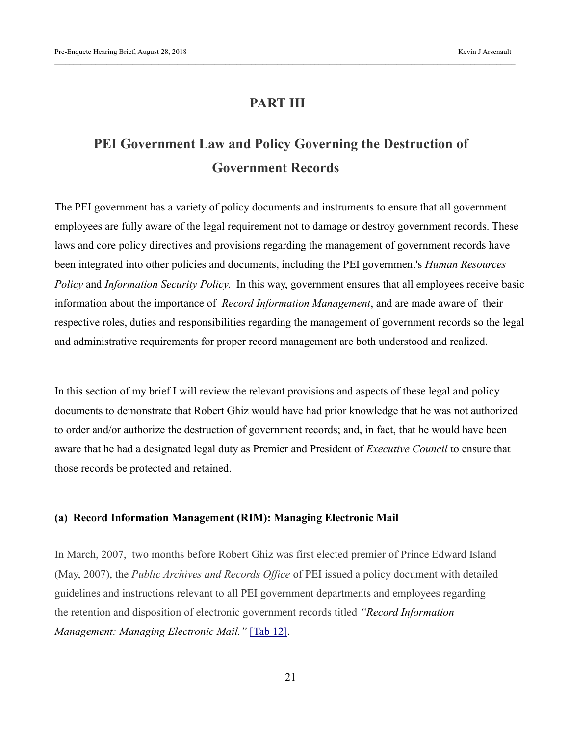# **PART III**

# **PEI Government Law and Policy Governing the Destruction of Government Records**

The PEI government has a variety of policy documents and instruments to ensure that all government employees are fully aware of the legal requirement not to damage or destroy government records. These laws and core policy directives and provisions regarding the management of government records have been integrated into other policies and documents, including the PEI government's *Human Resources Policy* and *Information Security Policy*. In this way, government ensures that all employees receive basic information about the importance of *Record Information Management*, and are made aware of their respective roles, duties and responsibilities regarding the management of government records so the legal and administrative requirements for proper record management are both understood and realized.

In this section of my brief I will review the relevant provisions and aspects of these legal and policy documents to demonstrate that Robert Ghiz would have had prior knowledge that he was not authorized to order and/or authorize the destruction of government records; and, in fact, that he would have been aware that he had a designated legal duty as Premier and President of *Executive Council* to ensure that those records be protected and retained.

#### **(a) Record Information Management (RIM): Managing Electronic Mail**

In March, 2007, two months before Robert Ghiz was first elected premier of Prince Edward Island (May, 2007), the *Public Archives and Records Office* of PEI issued a policy document with detailed guidelines and instructions relevant to all PEI government departments and employees regarding the retention and disposition of electronic government records titled *"Record Information Management: Managing Electronic Mail."* [\[Tab 12\].](https://kja321.files.wordpress.com/2018/08/tab-12-recorded-information-management-managing-electronic-email.pdf)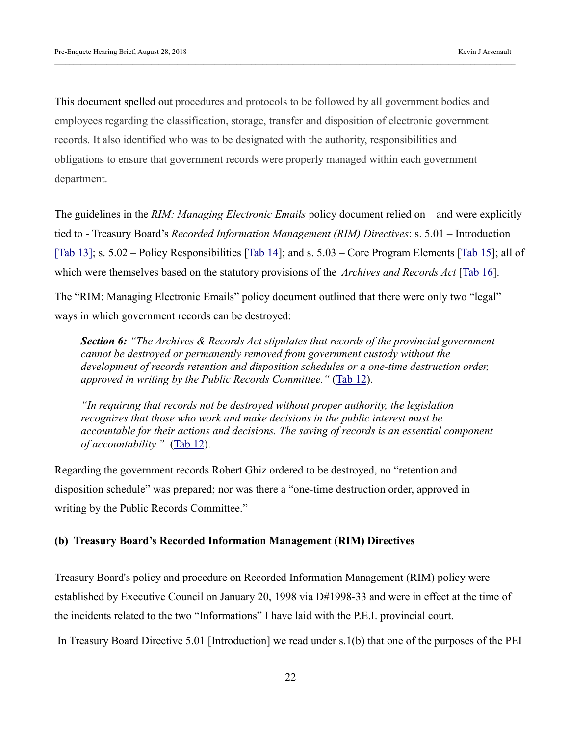This document spelled out procedures and protocols to be followed by all government bodies and employees regarding the classification, storage, transfer and disposition of electronic government records. It also identified who was to be designated with the authority, responsibilities and obligations to ensure that government records were properly managed within each government department.

The guidelines in the *RIM: Managing Electronic Emails* policy document relied on – and were explicitly tied to - Treasury Board's *Recorded Information Management (RIM) Directives*: s. 5.01 – Introduction [\[Tab 13\];](https://kja321.files.wordpress.com/2018/08/tab-13-treasury-board-directive-5-01.pdf) s. 5.02 – Policy Responsibilities [\[Tab 14\]](https://kja321.files.wordpress.com/2018/08/tab-14-treasury-board-directive-5-02.pdf); and s. 5.03 – Core Program Elements [\[Tab 15\]](https://kja321.files.wordpress.com/2018/08/tab-15-treasury-board-directive-5-03.pdf); all of which were themselves based on the statutory provisions of the *Archives and Records Act* [\[Tab 16\]](https://kja321.files.wordpress.com/2018/08/tab-16-archives-and-records-act.pdf).

The "RIM: Managing Electronic Emails" policy document outlined that there were only two "legal" ways in which government records can be destroyed:

*Section 6: "The Archives & Records Act stipulates that records of the provincial government cannot be destroyed or permanently removed from government custody without the development of records retention and disposition schedules or a one-time destruction order, approved in writing by the Public Records Committee."* [\(Tab 12\)](https://kja321.files.wordpress.com/2018/08/tab-12-recorded-information-management-managing-electronic-email.pdf).

*"In requiring that records not be destroyed without proper authority, the legislation recognizes that those who work and make decisions in the public interest must be accountable for their actions and decisions. The saving of records is an essential component of accountability."* [\(Tab 12\)](https://kja321.files.wordpress.com/2018/08/tab-12-recorded-information-management-managing-electronic-email.pdf).

Regarding the government records Robert Ghiz ordered to be destroyed, no "retention and disposition schedule" was prepared; nor was there a "one-time destruction order, approved in writing by the Public Records Committee."

#### **(b) Treasury Board's Recorded Information Management (RIM) Directives**

Treasury Board's policy and procedure on Recorded Information Management (RIM) policy were established by Executive Council on January 20, 1998 via D#1998-33 and were in effect at the time of the incidents related to the two "Informations" I have laid with the P.E.I. provincial court.

In Treasury Board Directive 5.01 [Introduction] we read under s.1(b) that one of the purposes of the PEI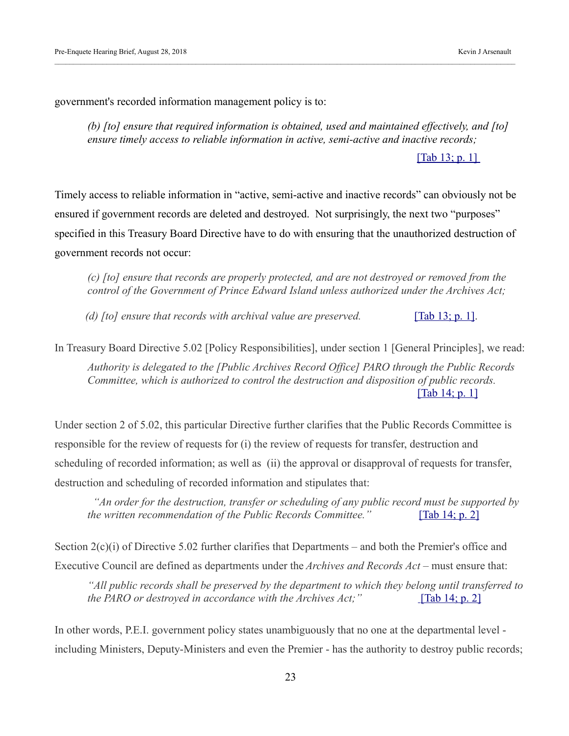government's recorded information management policy is to:

*(b) [to] ensure that required information is obtained, used and maintained effectively, and [to] ensure timely access to reliable information in active, semi-active and inactive records;*

[Tab 13; p. 1]

Timely access to reliable information in "active, semi-active and inactive records" can obviously not be ensured if government records are deleted and destroyed. Not surprisingly, the next two "purposes" specified in this Treasury Board Directive have to do with ensuring that the unauthorized destruction of government records not occur:

*(c) [to] ensure that records are properly protected, and are not destroyed or removed from the control of the Government of Prince Edward Island unless authorized under the Archives Act;*

*(d)* [to] ensure that records with archival value are preserved. **[Tab 13; p. 1]**.

In Treasury Board Directive 5.02 [Policy Responsibilities], under section 1 [General Principles], we read:

*Authority is delegated to the [Public Archives Record Office] PARO through the Public Records Committee, which is authorized to control the destruction and disposition of public records.*  [\[Tab 14; p. 1\]](https://kja321.files.wordpress.com/2018/08/tab-14-treasury-board-directive-5-02.pdf)

Under section 2 of 5.02, this particular Directive further clarifies that the Public Records Committee is responsible for the review of requests for (i) the review of requests for transfer, destruction and scheduling of recorded information; as well as (ii) the approval or disapproval of requests for transfer, destruction and scheduling of recorded information and stipulates that:

 *"An order for the destruction, transfer or scheduling of any public record must be supported by the written recommendation of the Public Records Committee.*" [\[Tab 14; p. 2\]](https://kja321.files.wordpress.com/2018/08/tab-14-treasury-board-directive-5-02.pdf)

Section 2(c)(i) of Directive 5.02 further clarifies that Departments – and both the Premier's office and Executive Council are defined as departments under the *Archives and Records Act* – must ensure that:

*"All public records shall be preserved by the department to which they belong until transferred to the PARO or destroyed in accordance with the Archives Act;"* [\[Tab 14; p. 2\]](https://kja321.files.wordpress.com/2018/08/tab-14-treasury-board-directive-5-02.pdf)

In other words, P.E.I. government policy states unambiguously that no one at the departmental level including Ministers, Deputy-Ministers and even the Premier - has the authority to destroy public records;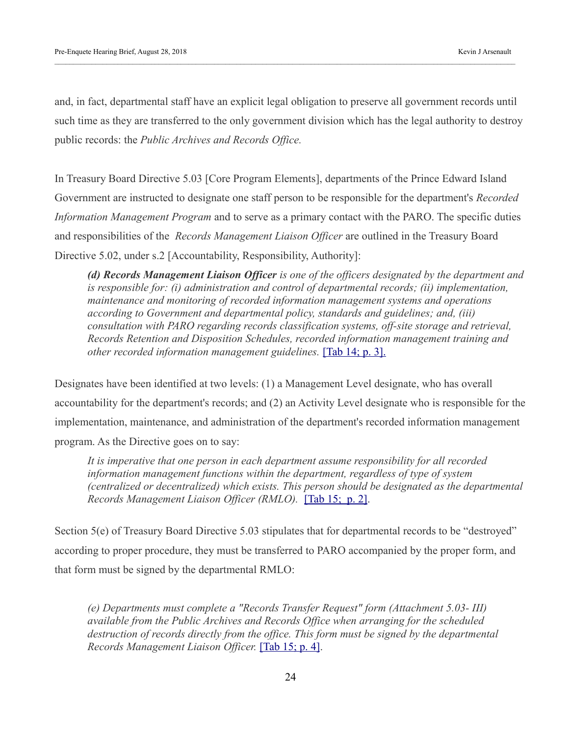and, in fact, departmental staff have an explicit legal obligation to preserve all government records until such time as they are transferred to the only government division which has the legal authority to destroy public records: the *Public Archives and Records Office.*

In Treasury Board Directive 5.03 [Core Program Elements], departments of the Prince Edward Island Government are instructed to designate one staff person to be responsible for the department's *Recorded Information Management Program* and to serve as a primary contact with the PARO. The specific duties and responsibilities of the *Records Management Liaison Officer* are outlined in the Treasury Board Directive 5.02, under s.2 [Accountability, Responsibility, Authority]:

*(d) Records Management Liaison Officer is one of the officers designated by the department and is responsible for: (i) administration and control of departmental records; (ii) implementation, maintenance and monitoring of recorded information management systems and operations according to Government and departmental policy, standards and guidelines; and, (iii) consultation with PARO regarding records classification systems, off-site storage and retrieval, Records Retention and Disposition Schedules, recorded information management training and other recorded information management guidelines.* [\[Tab 14; p. 3\].](https://kja321.files.wordpress.com/2018/08/tab-14-treasury-board-directive-5-02.pdf)

Designates have been identified at two levels: (1) a Management Level designate, who has overall accountability for the department's records; and (2) an Activity Level designate who is responsible for the implementation, maintenance, and administration of the department's recorded information management program. As the Directive goes on to say:

*It is imperative that one person in each department assume responsibility for all recorded information management functions within the department, regardless of type of system (centralized or decentralized) which exists. This person should be designated as the departmental Records Management Liaison Officer (RMLO).* [\[Tab 15; p. 2\].](https://kja321.files.wordpress.com/2018/08/tab-15-treasury-board-directive-5-03.pdf)

Section 5(e) of Treasury Board Directive 5.03 stipulates that for departmental records to be "destroyed" according to proper procedure, they must be transferred to PARO accompanied by the proper form, and that form must be signed by the departmental RMLO:

*(e) Departments must complete a "Records Transfer Request" form (Attachment 5.03- III) available from the Public Archives and Records Office when arranging for the scheduled destruction of records directly from the office. This form must be signed by the departmental Records Management Liaison Officer.* [\[Tab 15; p. 4\].](https://kja321.files.wordpress.com/2018/08/tab-15-treasury-board-directive-5-03.pdf)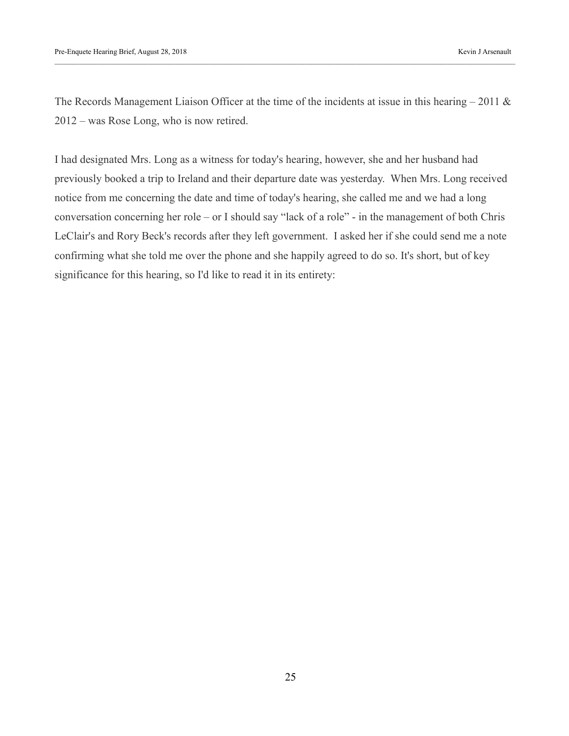The Records Management Liaison Officer at the time of the incidents at issue in this hearing – 2011  $\&$ 2012 – was Rose Long, who is now retired.

I had designated Mrs. Long as a witness for today's hearing, however, she and her husband had previously booked a trip to Ireland and their departure date was yesterday. When Mrs. Long received notice from me concerning the date and time of today's hearing, she called me and we had a long conversation concerning her role – or I should say "lack of a role" - in the management of both Chris LeClair's and Rory Beck's records after they left government. I asked her if she could send me a note confirming what she told me over the phone and she happily agreed to do so. It's short, but of key significance for this hearing, so I'd like to read it in its entirety: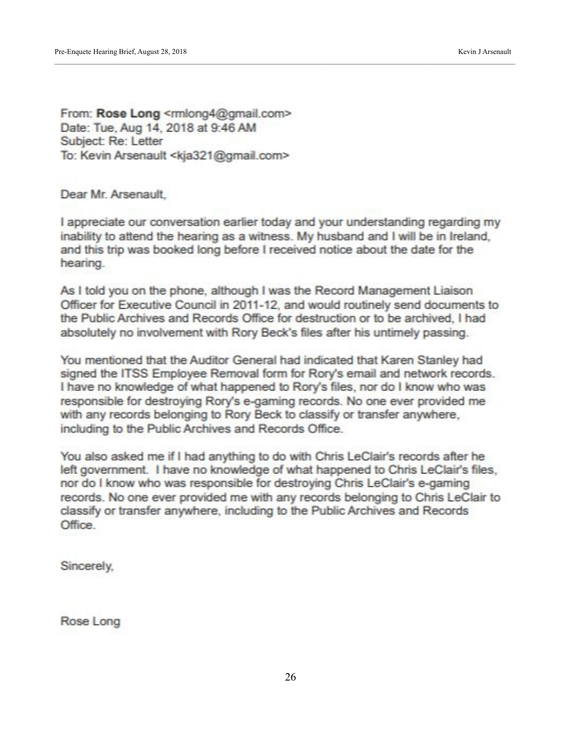From: Rose Long <rmlong4@gmail.com> Date: Tue, Aug 14, 2018 at 9:46 AM Subject: Re: Letter To: Kevin Arsenault <kja321@gmail.com>

Dear Mr. Arsenault.

I appreciate our conversation earlier today and your understanding regarding my inability to attend the hearing as a witness. My husband and I will be in Ireland. and this trip was booked long before I received notice about the date for the hearing.

As I told you on the phone, although I was the Record Management Liaison Officer for Executive Council in 2011-12, and would routinely send documents to the Public Archives and Records Office for destruction or to be archived. I had absolutely no involvement with Rory Beck's files after his untimely passing.

You mentioned that the Auditor General had indicated that Karen Stanley had signed the ITSS Employee Removal form for Rory's email and network records. I have no knowledge of what happened to Rory's files, nor do I know who was responsible for destroying Rory's e-gaming records. No one ever provided me with any records belonging to Rory Beck to classify or transfer anywhere, including to the Public Archives and Records Office.

You also asked me if I had anything to do with Chris LeClair's records after he left government. I have no knowledge of what happened to Chris LeClair's files, nor do I know who was responsible for destroying Chris LeClair's e-gaming records. No one ever provided me with any records belonging to Chris LeClair to classify or transfer anywhere, including to the Public Archives and Records **Office** 

Sincerely,

Rose Long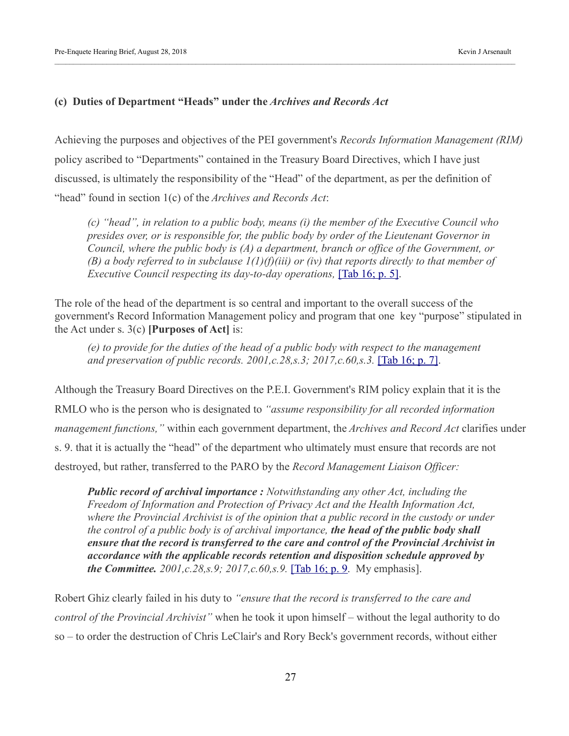#### **(c) Duties of Department "Heads" under the** *Archives and Records Act*

Achieving the purposes and objectives of the PEI government's *Records Information Management (RIM)* policy ascribed to "Departments" contained in the Treasury Board Directives, which I have just discussed, is ultimately the responsibility of the "Head" of the department, as per the definition of "head" found in section 1(c) of the *Archives and Records Act*:

*(c) "head", in relation to a public body, means (i) the member of the Executive Council who presides over, or is responsible for, the public body by order of the Lieutenant Governor in Council, where the public body is (A) a department, branch or office of the Government, or (B) a body referred to in subclause 1(1)(f)(iii) or (iv) that reports directly to that member of Executive Council respecting its day-to-day operations,* [\[Tab 16; p. 5\].](https://kja321.files.wordpress.com/2018/08/tab-16-archives-and-records-act.pdf)

The role of the head of the department is so central and important to the overall success of the government's Record Information Management policy and program that one key "purpose" stipulated in the Act under s. 3(c) **[Purposes of Act]** is:

*(e) to provide for the duties of the head of a public body with respect to the management and preservation of public records. 2001,c.28,s.3; 2017,c.60,s.3.* [\[Tab 16; p. 7\].](https://kja321.files.wordpress.com/2018/08/tab-16-archives-and-records-act.pdf)

Although the Treasury Board Directives on the P.E.I. Government's RIM policy explain that it is the RMLO who is the person who is designated to *"assume responsibility for all recorded information management functions,"* within each government department, the *Archives and Record Act* clarifies under s. 9. that it is actually the "head" of the department who ultimately must ensure that records are not destroyed, but rather, transferred to the PARO by the *Record Management Liaison Officer:*

*Public record of archival importance : Notwithstanding any other Act, including the Freedom of Information and Protection of Privacy Act and the Health Information Act, where the Provincial Archivist is of the opinion that a public record in the custody or under the control of a public body is of archival importance, the head of the public body shall ensure that the record is transferred to the care and control of the Provincial Archivist in accordance with the applicable records retention and disposition schedule approved by the Committee. 2001,c.28,s.9; 2017,c.60,s.9.* [\[Tab 16; p. 9.](https://kja321.files.wordpress.com/2018/08/tab-16-archives-and-records-act.pdf) My emphasis].

Robert Ghiz clearly failed in his duty to *"ensure that the record is transferred to the care and control of the Provincial Archivist"* when he took it upon himself – without the legal authority to do so – to order the destruction of Chris LeClair's and Rory Beck's government records, without either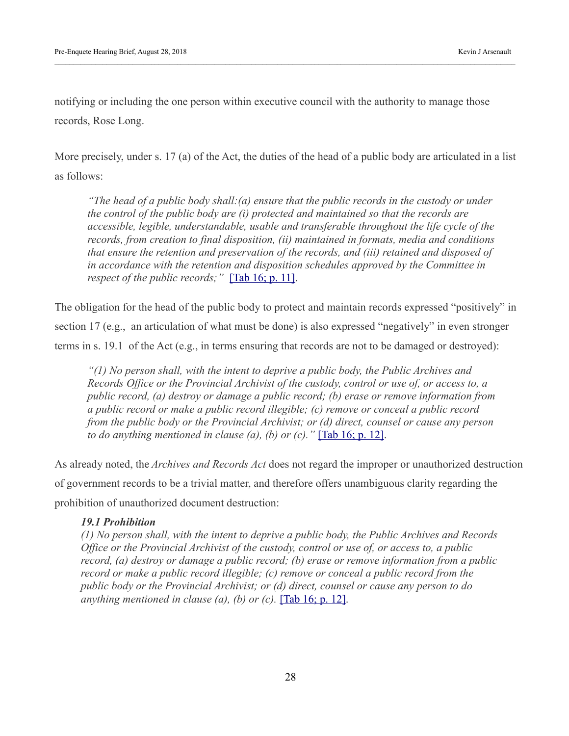notifying or including the one person within executive council with the authority to manage those records, Rose Long.

More precisely, under s. 17 (a) of the Act, the duties of the head of a public body are articulated in a list as follows:

*"The head of a public body shall:(a) ensure that the public records in the custody or under the control of the public body are (i) protected and maintained so that the records are accessible, legible, understandable, usable and transferable throughout the life cycle of the records, from creation to final disposition, (ii) maintained in formats, media and conditions that ensure the retention and preservation of the records, and (iii) retained and disposed of in accordance with the retention and disposition schedules approved by the Committee in respect of the public records;"* [\[Tab 16; p. 11\].](https://kja321.files.wordpress.com/2018/08/tab-16-archives-and-records-act.pdf)

The obligation for the head of the public body to protect and maintain records expressed "positively" in section 17 (e.g., an articulation of what must be done) is also expressed "negatively" in even stronger terms in s. 19.1 of the Act (e.g., in terms ensuring that records are not to be damaged or destroyed):

*"(1) No person shall, with the intent to deprive a public body, the Public Archives and Records Office or the Provincial Archivist of the custody, control or use of, or access to, a public record, (a) destroy or damage a public record; (b) erase or remove information from a public record or make a public record illegible; (c) remove or conceal a public record from the public body or the Provincial Archivist; or (d) direct, counsel or cause any person to do anything mentioned in clause (a), (b) or (c).*  $\Gamma$  [\[Tab 16; p. 12\].](https://kja321.files.wordpress.com/2018/08/tab-16-archives-and-records-act.pdf)

As already noted, the *Archives and Records Act* does not regard the improper or unauthorized destruction of government records to be a trivial matter, and therefore offers unambiguous clarity regarding the prohibition of unauthorized document destruction:

#### *19.1 Prohibition*

*(1) No person shall, with the intent to deprive a public body, the Public Archives and Records Office or the Provincial Archivist of the custody, control or use of, or access to, a public record, (a) destroy or damage a public record; (b) erase or remove information from a public record or make a public record illegible; (c) remove or conceal a public record from the public body or the Provincial Archivist; or (d) direct, counsel or cause any person to do anything mentioned in clause (a), (b) or (c).* [\[Tab 16; p. 12\].](https://kja321.files.wordpress.com/2018/08/tab-16-archives-and-records-act.pdf)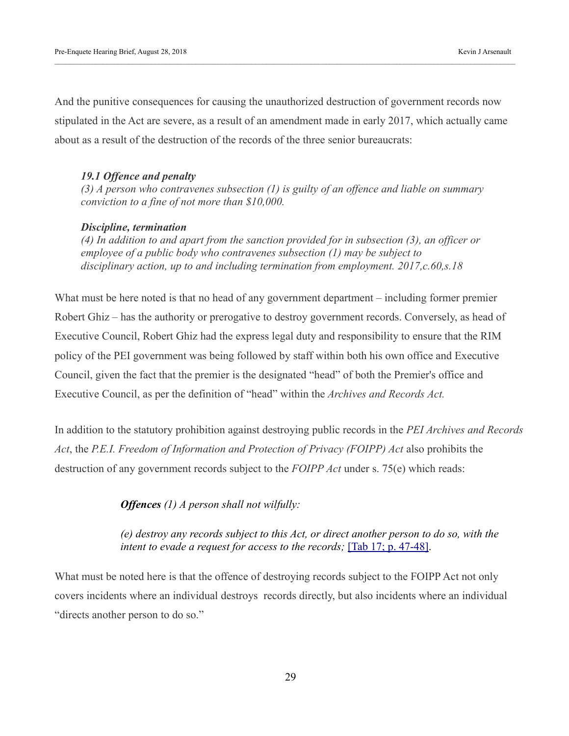And the punitive consequences for causing the unauthorized destruction of government records now stipulated in the Act are severe, as a result of an amendment made in early 2017, which actually came about as a result of the destruction of the records of the three senior bureaucrats:

#### *19.1 Offence and penalty*

*(3) A person who contravenes subsection (1) is guilty of an offence and liable on summary conviction to a fine of not more than \$10,000.*

#### *Discipline, termination*

*(4) In addition to and apart from the sanction provided for in subsection (3), an officer or employee of a public body who contravenes subsection (1) may be subject to disciplinary action, up to and including termination from employment. 2017,c.60,s.18*

What must be here noted is that no head of any government department – including former premier Robert Ghiz – has the authority or prerogative to destroy government records. Conversely, as head of Executive Council, Robert Ghiz had the express legal duty and responsibility to ensure that the RIM policy of the PEI government was being followed by staff within both his own office and Executive Council, given the fact that the premier is the designated "head" of both the Premier's office and Executive Council, as per the definition of "head" within the *Archives and Records Act.*

In addition to the statutory prohibition against destroying public records in the *PEI Archives and Records Act*, the *P.E.I. Freedom of Information and Protection of Privacy (FOIPP) Act* also prohibits the destruction of any government records subject to the *FOIPP Act* under s. 75(e) which reads:

*Offences (1) A person shall not wilfully:* 

*(e) destroy any records subject to this Act, or direct another person to do so, with the intent to evade a request for access to the records;* [\[Tab 17; p. 47-48\].](https://kja321.files.wordpress.com/2018/08/tab-17-foipp-act.pdf)

What must be noted here is that the offence of destroying records subject to the FOIPP Act not only covers incidents where an individual destroys records directly, but also incidents where an individual "directs another person to do so."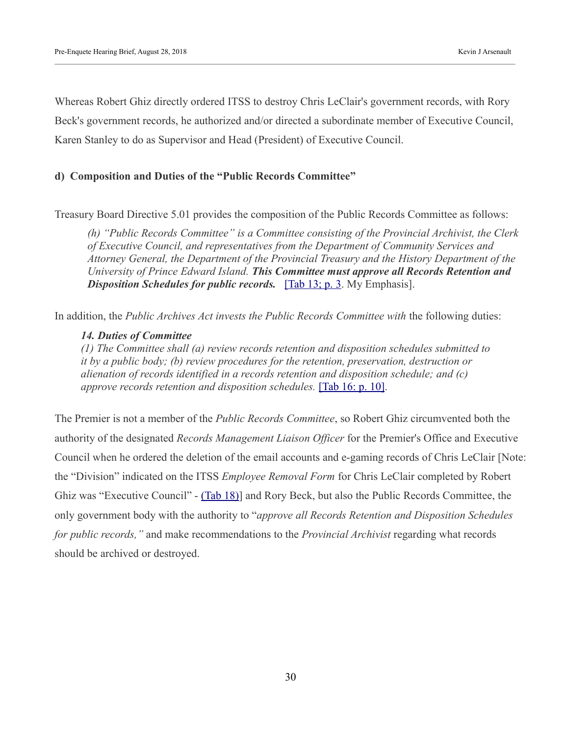Whereas Robert Ghiz directly ordered ITSS to destroy Chris LeClair's government records, with Rory Beck's government records, he authorized and/or directed a subordinate member of Executive Council, Karen Stanley to do as Supervisor and Head (President) of Executive Council.

#### **d) Composition and Duties of the "Public Records Committee"**

Treasury Board Directive 5.01 provides the composition of the Public Records Committee as follows:

*(h) "Public Records Committee" is a Committee consisting of the Provincial Archivist, the Clerk of Executive Council, and representatives from the Department of Community Services and Attorney General, the Department of the Provincial Treasury and the History Department of the University of Prince Edward Island. This Committee must approve all Records Retention and*  **Disposition Schedules for public records.** [\[Tab 13; p. 3.](https://kja321.files.wordpress.com/2018/08/tab-13-treasury-board-directive-5-01.pdf) My Emphasis].

In addition, the *Public Archives Act invests the Public Records Committee with* the following duties:

#### *14. Duties of Committee*

*(1) The Committee shall (a) review records retention and disposition schedules submitted to it by a public body; (b) review procedures for the retention, preservation, destruction or alienation of records identified in a records retention and disposition schedule; and (c) approve records retention and disposition schedules.* [\[Tab 16: p. 10\].](https://kja321.files.wordpress.com/2018/08/tab-16-archives-and-records-act.pdf)

The Premier is not a member of the *Public Records Committee*, so Robert Ghiz circumvented both the authority of the designated *Records Management Liaison Officer* for the Premier's Office and Executive Council when he ordered the deletion of the email accounts and e-gaming records of Chris LeClair [Note: the "Division" indicated on the ITSS *Employee Removal Form* for Chris LeClair completed by Robert Ghiz was "Executive Council" - [\(Tab 18\)\]](https://kja321.files.wordpress.com/2018/08/tab-18-completed-employee-removal-form-for-chris-leclair.jpg) and Rory Beck, but also the Public Records Committee, the only government body with the authority to "*approve all Records Retention and Disposition Schedules for public records,"* and make recommendations to the *Provincial Archivist* regarding what records should be archived or destroyed.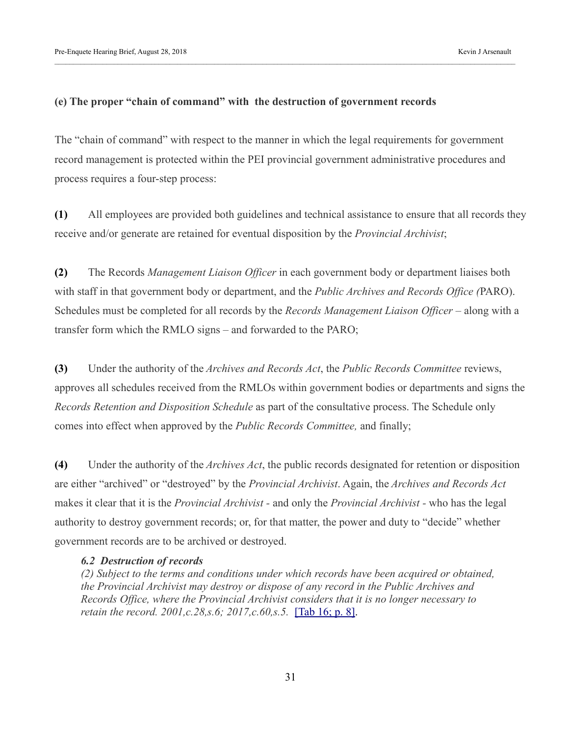#### **(e) The proper "chain of command" with the destruction of government records**

The "chain of command" with respect to the manner in which the legal requirements for government record management is protected within the PEI provincial government administrative procedures and process requires a four-step process:

**(1)** All employees are provided both guidelines and technical assistance to ensure that all records they receive and/or generate are retained for eventual disposition by the *Provincial Archivist*;

**(2)** The Records *Management Liaison Officer* in each government body or department liaises both with staff in that government body or department, and the *Public Archives and Records Office (*PARO). Schedules must be completed for all records by the *Records Management Liaison Officer* – along with a transfer form which the RMLO signs – and forwarded to the PARO;

**(3)** Under the authority of the *Archives and Records Act*, the *Public Records Committee* reviews, approves all schedules received from the RMLOs within government bodies or departments and signs the *Records Retention and Disposition Schedule* as part of the consultative process. The Schedule only comes into effect when approved by the *Public Records Committee,* and finally;

**(4)** Under the authority of the *Archives Act*, the public records designated for retention or disposition are either "archived" or "destroyed" by the *Provincial Archivist*. Again, the *Archives and Records Act* makes it clear that it is the *Provincial Archivist -* and only the *Provincial Archivist -* who has the legal authority to destroy government records; or, for that matter, the power and duty to "decide" whether government records are to be archived or destroyed.

#### *6.2 Destruction of records*

*(2) Subject to the terms and conditions under which records have been acquired or obtained, the Provincial Archivist may destroy or dispose of any record in the Public Archives and Records Office, where the Provincial Archivist considers that it is no longer necessary to retain the record. 2001,c.28,s.6; 2017,c.60,s.5.* [\[Tab 16; p. 8\].](https://kja321.files.wordpress.com/2018/08/tab-16-archives-and-records-act.pdf)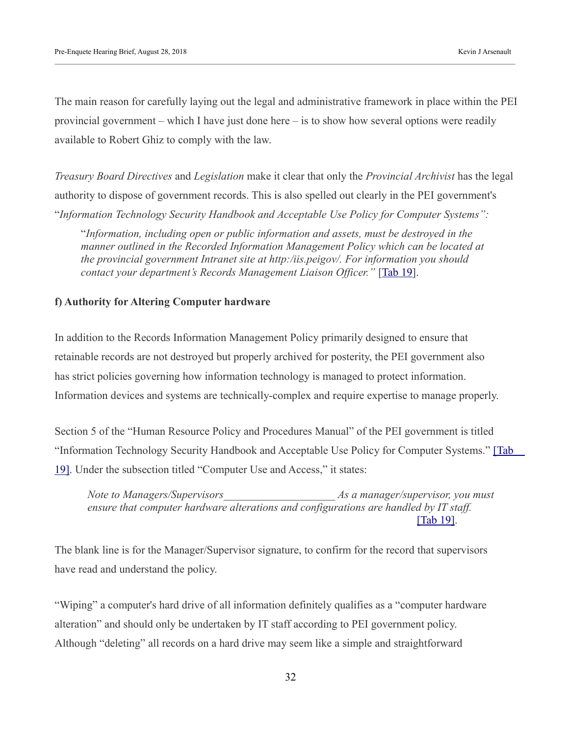The main reason for carefully laying out the legal and administrative framework in place within the PEI provincial government – which I have just done here – is to show how several options were readily available to Robert Ghiz to comply with the law.

*Treasury Board Directives* and *Legislation* make it clear that only the *Provincial Archivist* has the legal authority to dispose of government records. This is also spelled out clearly in the PEI government's "*Information Technology Security Handbook and Acceptable Use Policy for Computer Systems":*

"*Information, including open or public information and assets, must be destroyed in the manner outlined in the Recorded Information Management Policy which can be located at the provincial government Intranet site at http:/iis.peigov/. For information you should contact your department's Records Management Liaison Officer."* [\[Tab 19\]](https://kja321.files.wordpress.com/2018/08/tab-19-information-technology-security-handbook-and-acceptable-use-policy-for-computer-systems.pdf).

#### **f) Authority for Altering Computer hardware**

In addition to the Records Information Management Policy primarily designed to ensure that retainable records are not destroyed but properly archived for posterity, the PEI government also has strict policies governing how information technology is managed to protect information. Information devices and systems are technically-complex and require expertise to manage properly.

Section 5 of the "Human Resource Policy and Procedures Manual" of the PEI government is titled "Information Technology Security Handbook and Acceptable Use Policy for Computer Systems." [Tab [19\].](https://kja321.files.wordpress.com/2018/08/tab-19-information-technology-security-handbook-and-acceptable-use-policy-for-computer-systems.pdf) Under the subsection titled "Computer Use and Access," it states:

*Note to Managers/Supervisors\_\_\_\_\_\_\_\_\_\_\_\_\_\_\_\_\_\_\_\_ As a manager/supervisor, you must ensure that computer hardware alterations and configurations are handled by IT staff.*  [\[Tab 19\].](https://kja321.files.wordpress.com/2018/08/tab-19-information-technology-security-handbook-and-acceptable-use-policy-for-computer-systems.pdf)

The blank line is for the Manager/Supervisor signature, to confirm for the record that supervisors have read and understand the policy.

"Wiping" a computer's hard drive of all information definitely qualifies as a "computer hardware alteration" and should only be undertaken by IT staff according to PEI government policy. Although "deleting" all records on a hard drive may seem like a simple and straightforward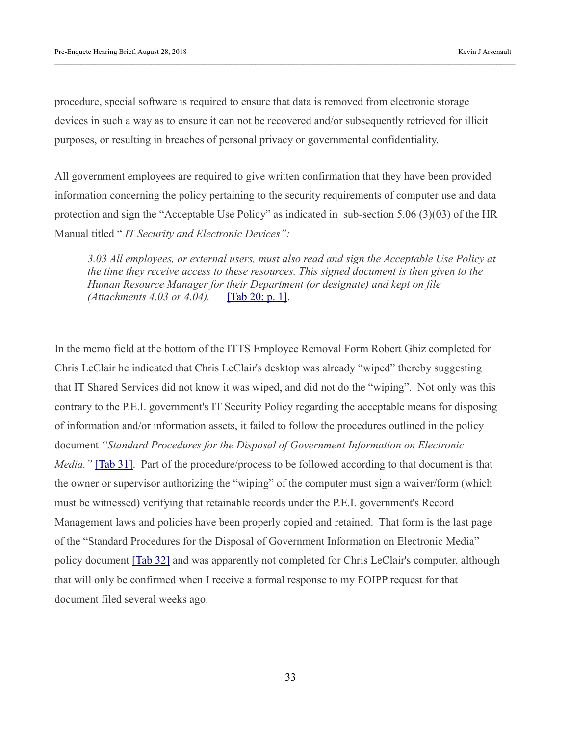procedure, special software is required to ensure that data is removed from electronic storage devices in such a way as to ensure it can not be recovered and/or subsequently retrieved for illicit purposes, or resulting in breaches of personal privacy or governmental confidentiality.

All government employees are required to give written confirmation that they have been provided information concerning the policy pertaining to the security requirements of computer use and data protection and sign the "Acceptable Use Policy" as indicated in sub-section 5.06 (3)(03) of the HR Manual titled " *IT Security and Electronic Devices":*

*3.03 All employees, or external users, must also read and sign the Acceptable Use Policy at the time they receive access to these resources. This signed document is then given to the Human Resource Manager for their Department (or designate) and kept on file (Attachments 4.03 or 4.04).* [\[Tab 20; p. 1\].](https://kja321.files.wordpress.com/2018/08/tab-20-hrmanual_5-06.pdf)

In the memo field at the bottom of the ITTS Employee Removal Form Robert Ghiz completed for Chris LeClair he indicated that Chris LeClair's desktop was already "wiped" thereby suggesting that IT Shared Services did not know it was wiped, and did not do the "wiping". Not only was this contrary to the P.E.I. government's IT Security Policy regarding the acceptable means for disposing of information and/or information assets, it failed to follow the procedures outlined in the policy document *"Standard Procedures for the Disposal of Government Information on Electronic Media."* [\[Tab 31\].](https://kja321.files.wordpress.com/2018/08/tab-31-livingston-sentence.pdf) Part of the procedure/process to be followed according to that document is that the owner or supervisor authorizing the "wiping" of the computer must sign a waiver/form (which must be witnessed) verifying that retainable records under the P.E.I. government's Record Management laws and policies have been properly copied and retained. That form is the last page of the "Standard Procedures for the Disposal of Government Information on Electronic Media" policy document [\[Tab 32\]](https://kja321.files.wordpress.com/2018/08/tab-31-standard-procedure-for-the-disposal-of-government-information-on-electronic-media-policy.pdf) and was apparently not completed for Chris LeClair's computer, although that will only be confirmed when I receive a formal response to my FOIPP request for that document filed several weeks ago.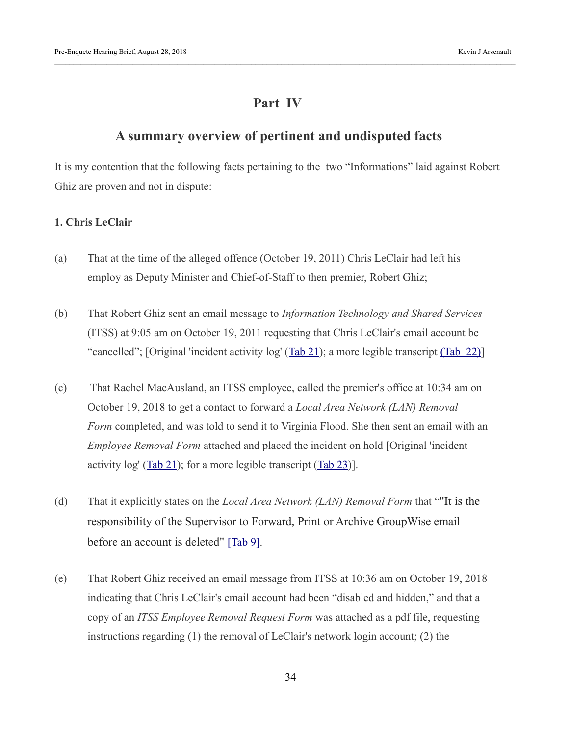# **Part IV**

## **A summary overview of pertinent and undisputed facts**

It is my contention that the following facts pertaining to the two "Informations" laid against Robert Ghiz are proven and not in dispute:

#### **1. Chris LeClair**

- (a) That at the time of the alleged offence (October 19, 2011) Chris LeClair had left his employ as Deputy Minister and Chief-of-Staff to then premier, Robert Ghiz;
- (b) That Robert Ghiz sent an email message to *Information Technology and Shared Services* (ITSS) at 9:05 am on October 19, 2011 requesting that Chris LeClair's email account be "cancelled"; [Original 'incident activity log' [\(Tab 21\)](https://kja321.files.wordpress.com/2018/08/tab-21-original-incident-reports-and-employee-removal-form-for-chris-leclair.pdf); a more legible transcript [\(Tab 22\)\]](https://kja321.files.wordpress.com/2018/08/tab-22-ghiz_incident1.pdf)
- (c) That Rachel MacAusland, an ITSS employee, called the premier's office at 10:34 am on October 19, 2018 to get a contact to forward a *Local Area Network (LAN) Removal Form* completed, and was told to send it to Virginia Flood. She then sent an email with an *Employee Removal Form* attached and placed the incident on hold [Original 'incident activity  $log'$  [\(Tab 21\)](https://kja321.files.wordpress.com/2018/08/tab-21-original-incident-reports-and-employee-removal-form-for-chris-leclair.pdf); for a more legible transcript [\(Tab 23\)](https://kja321.files.wordpress.com/2018/08/tab-23-ghiz_incident2.pdf)].
- (d) That it explicitly states on the *Local Area Network (LAN) Removal Form* that ""It is the responsibility of the Supervisor to Forward, Print or Archive GroupWise email before an account is deleted" [\[Tab 9\].](https://kja321.files.wordpress.com/2018/08/tab-9-blank-lan-removal-form.jpg)
- (e) That Robert Ghiz received an email message from ITSS at 10:36 am on October 19, 2018 indicating that Chris LeClair's email account had been "disabled and hidden," and that a copy of an *ITSS Employee Removal Request Form* was attached as a pdf file, requesting instructions regarding (1) the removal of LeClair's network login account; (2) the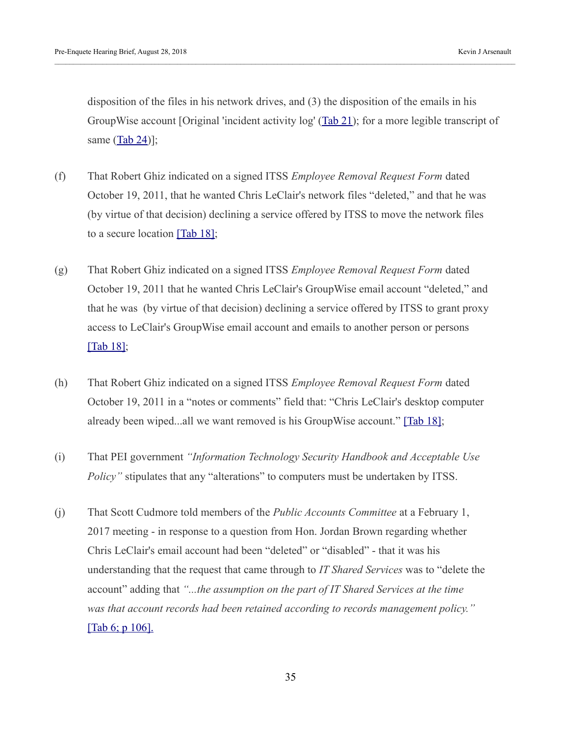disposition of the files in his network drives, and (3) the disposition of the emails in his GroupWise account [Original 'incident activity log' [\(Tab 21\)](https://kja321.files.wordpress.com/2018/08/tab-21-original-incident-reports-and-employee-removal-form-for-chris-leclair.pdf); for a more legible transcript of same  $(Tab 24)$ ];

- (f) That Robert Ghiz indicated on a signed ITSS *Employee Removal Request Form* dated October 19, 2011, that he wanted Chris LeClair's network files "deleted," and that he was (by virtue of that decision) declining a service offered by ITSS to move the network files to a secure location [\[Tab 18\];](https://kja321.files.wordpress.com/2018/08/tab-18-completed-employee-removal-form-for-chris-leclair.jpg)
- (g) That Robert Ghiz indicated on a signed ITSS *Employee Removal Request Form* dated October 19, 2011 that he wanted Chris LeClair's GroupWise email account "deleted," and that he was (by virtue of that decision) declining a service offered by ITSS to grant proxy access to LeClair's GroupWise email account and emails to another person or persons [\[Tab 18\];](https://kja321.files.wordpress.com/2018/08/tab-18-completed-employee-removal-form-for-chris-leclair.jpg)
- (h) That Robert Ghiz indicated on a signed ITSS *Employee Removal Request Form* dated October 19, 2011 in a "notes or comments" field that: "Chris LeClair's desktop computer already been wiped...all we want removed is his GroupWise account." [\[Tab 18\];](https://kja321.files.wordpress.com/2018/08/tab-18-completed-employee-removal-form-for-chris-leclair.jpg)
- (i) That PEI government *"Information Technology Security Handbook and Acceptable Use Policy*" stipulates that any "alterations" to computers must be undertaken by ITSS.
- (j) That Scott Cudmore told members of the *Public Accounts Committee* at a February 1, 2017 meeting - in response to a question from Hon. Jordan Brown regarding whether Chris LeClair's email account had been "deleted" or "disabled" - that it was his understanding that the request that came through to *IT Shared Services* was to "delete the account" adding that *"...the assumption on the part of IT Shared Services at the time was that account records had been retained according to records management policy."*  [\[Tab 6; p 106\].](https://kja321.files.wordpress.com/2018/08/tab-6-public-accounts-committee-meeting-february-1-2017.pdf)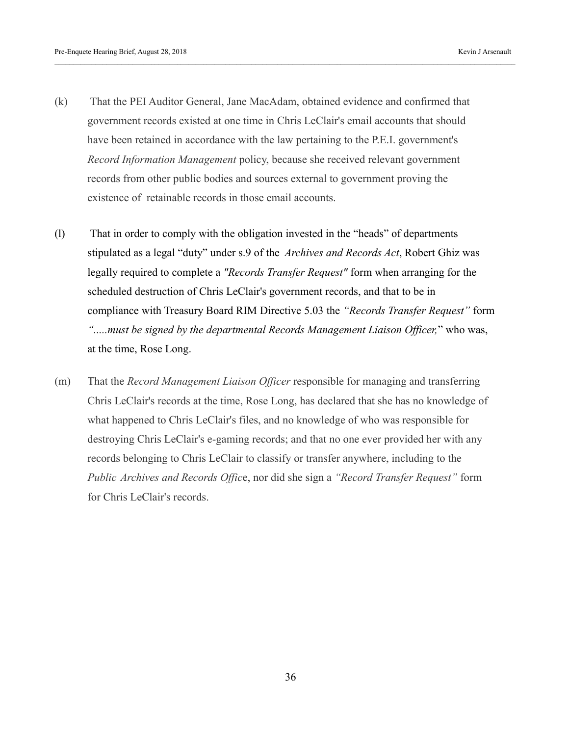- (k) That the PEI Auditor General, Jane MacAdam, obtained evidence and confirmed that government records existed at one time in Chris LeClair's email accounts that should have been retained in accordance with the law pertaining to the P.E.I. government's *Record Information Management* policy, because she received relevant government records from other public bodies and sources external to government proving the existence of retainable records in those email accounts.
- (l) That in order to comply with the obligation invested in the "heads" of departments stipulated as a legal "duty" under s.9 of the *Archives and Records Act*, Robert Ghiz was legally required to complete a *"Records Transfer Request"* form when arranging for the scheduled destruction of Chris LeClair's government records, and that to be in compliance with Treasury Board RIM Directive 5.03 the *"Records Transfer Request"* form *".....must be signed by the departmental Records Management Liaison Officer,*" who was, at the time, Rose Long.
- (m) That the *Record Management Liaison Officer* responsible for managing and transferring Chris LeClair's records at the time, Rose Long, has declared that she has no knowledge of what happened to Chris LeClair's files, and no knowledge of who was responsible for destroying Chris LeClair's e-gaming records; and that no one ever provided her with any records belonging to Chris LeClair to classify or transfer anywhere, including to the *Public Archives and Records Offic*e, nor did she sign a *"Record Transfer Request"* form for Chris LeClair's records.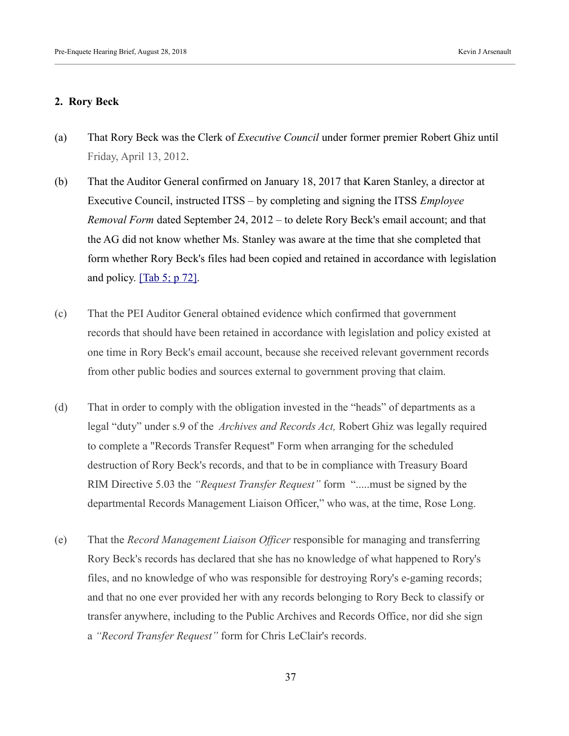#### **2. Rory Beck**

- (a) That Rory Beck was the Clerk of *Executive Council* under former premier Robert Ghiz until Friday, April 13, 2012.
- (b) That the Auditor General confirmed on January 18, 2017 that Karen Stanley, a director at Executive Council, instructed ITSS – by completing and signing the ITSS *Employee Removal Form* dated September 24, 2012 – to delete Rory Beck's email account; and that the AG did not know whether Ms. Stanley was aware at the time that she completed that form whether Rory Beck's files had been copied and retained in accordance with legislation and policy.  $[Tab 5; p 72]$ .
- (c) That the PEI Auditor General obtained evidence which confirmed that government records that should have been retained in accordance with legislation and policy existed at one time in Rory Beck's email account, because she received relevant government records from other public bodies and sources external to government proving that claim.
- (d) That in order to comply with the obligation invested in the "heads" of departments as a legal "duty" under s.9 of the *Archives and Records Act,* Robert Ghiz was legally required to complete a "Records Transfer Request" Form when arranging for the scheduled destruction of Rory Beck's records, and that to be in compliance with Treasury Board RIM Directive 5.03 the *"Request Transfer Request"* form ".....must be signed by the departmental Records Management Liaison Officer," who was, at the time, Rose Long.
- (e) That the *Record Management Liaison Officer* responsible for managing and transferring Rory Beck's records has declared that she has no knowledge of what happened to Rory's files, and no knowledge of who was responsible for destroying Rory's e-gaming records; and that no one ever provided her with any records belonging to Rory Beck to classify or transfer anywhere, including to the Public Archives and Records Office, nor did she sign a *"Record Transfer Request"* form for Chris LeClair's records.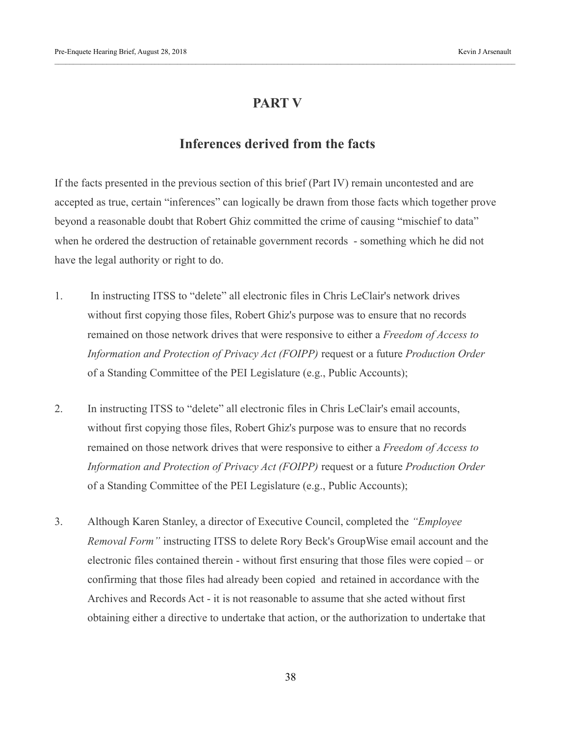# **PART V**

# **Inferences derived from the facts**

If the facts presented in the previous section of this brief (Part IV) remain uncontested and are accepted as true, certain "inferences" can logically be drawn from those facts which together prove beyond a reasonable doubt that Robert Ghiz committed the crime of causing "mischief to data" when he ordered the destruction of retainable government records - something which he did not have the legal authority or right to do.

- 1. In instructing ITSS to "delete" all electronic files in Chris LeClair's network drives without first copying those files, Robert Ghiz's purpose was to ensure that no records remained on those network drives that were responsive to either a *Freedom of Access to Information and Protection of Privacy Act (FOIPP)* request or a future *Production Order*  of a Standing Committee of the PEI Legislature (e.g., Public Accounts);
- 2. In instructing ITSS to "delete" all electronic files in Chris LeClair's email accounts, without first copying those files, Robert Ghiz's purpose was to ensure that no records remained on those network drives that were responsive to either a *Freedom of Access to Information and Protection of Privacy Act (FOIPP)* request or a future *Production Order*  of a Standing Committee of the PEI Legislature (e.g., Public Accounts);
- 3. Although Karen Stanley, a director of Executive Council, completed the *"Employee Removal Form"* instructing ITSS to delete Rory Beck's GroupWise email account and the electronic files contained therein - without first ensuring that those files were copied – or confirming that those files had already been copied and retained in accordance with the Archives and Records Act - it is not reasonable to assume that she acted without first obtaining either a directive to undertake that action, or the authorization to undertake that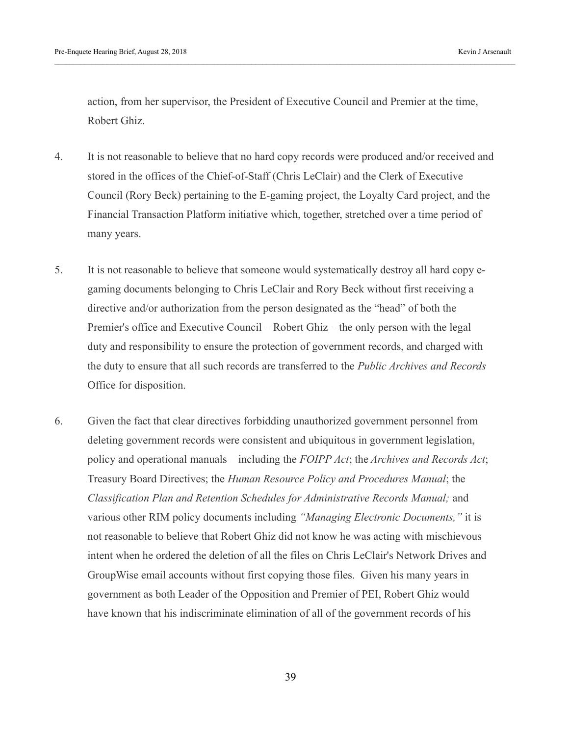action, from her supervisor, the President of Executive Council and Premier at the time, Robert Ghiz.

- 4. It is not reasonable to believe that no hard copy records were produced and/or received and stored in the offices of the Chief-of-Staff (Chris LeClair) and the Clerk of Executive Council (Rory Beck) pertaining to the E-gaming project, the Loyalty Card project, and the Financial Transaction Platform initiative which, together, stretched over a time period of many years.
- 5. It is not reasonable to believe that someone would systematically destroy all hard copy egaming documents belonging to Chris LeClair and Rory Beck without first receiving a directive and/or authorization from the person designated as the "head" of both the Premier's office and Executive Council – Robert Ghiz – the only person with the legal duty and responsibility to ensure the protection of government records, and charged with the duty to ensure that all such records are transferred to the *Public Archives and Records*  Office for disposition.
- 6. Given the fact that clear directives forbidding unauthorized government personnel from deleting government records were consistent and ubiquitous in government legislation, policy and operational manuals – including the *FOIPP Act*; the *Archives and Records Act*; Treasury Board Directives; the *Human Resource Policy and Procedures Manual*; the *Classification Plan and Retention Schedules for Administrative Records Manual;* and various other RIM policy documents including *"Managing Electronic Documents,"* it is not reasonable to believe that Robert Ghiz did not know he was acting with mischievous intent when he ordered the deletion of all the files on Chris LeClair's Network Drives and GroupWise email accounts without first copying those files. Given his many years in government as both Leader of the Opposition and Premier of PEI, Robert Ghiz would have known that his indiscriminate elimination of all of the government records of his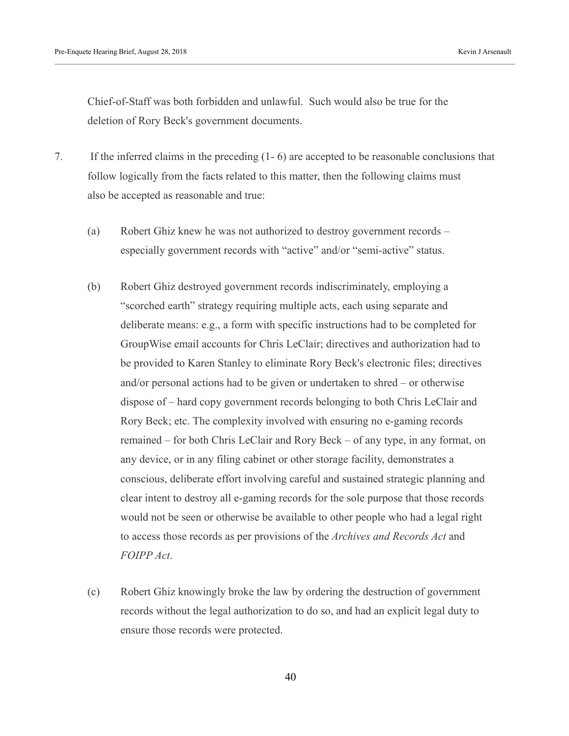Chief-of-Staff was both forbidden and unlawful. Such would also be true for the deletion of Rory Beck's government documents.

- 7. If the inferred claims in the preceding (1- 6) are accepted to be reasonable conclusions that follow logically from the facts related to this matter, then the following claims must also be accepted as reasonable and true:
	- (a) Robert Ghiz knew he was not authorized to destroy government records especially government records with "active" and/or "semi-active" status.
	- (b) Robert Ghiz destroyed government records indiscriminately, employing a "scorched earth" strategy requiring multiple acts, each using separate and deliberate means: e.g., a form with specific instructions had to be completed for GroupWise email accounts for Chris LeClair; directives and authorization had to be provided to Karen Stanley to eliminate Rory Beck's electronic files; directives and/or personal actions had to be given or undertaken to shred – or otherwise dispose of – hard copy government records belonging to both Chris LeClair and Rory Beck; etc. The complexity involved with ensuring no e-gaming records remained – for both Chris LeClair and Rory Beck – of any type, in any format, on any device, or in any filing cabinet or other storage facility, demonstrates a conscious, deliberate effort involving careful and sustained strategic planning and clear intent to destroy all e-gaming records for the sole purpose that those records would not be seen or otherwise be available to other people who had a legal right to access those records as per provisions of the *Archives and Records Act* and *FOIPP Act*.
	- (c) Robert Ghiz knowingly broke the law by ordering the destruction of government records without the legal authorization to do so, and had an explicit legal duty to ensure those records were protected.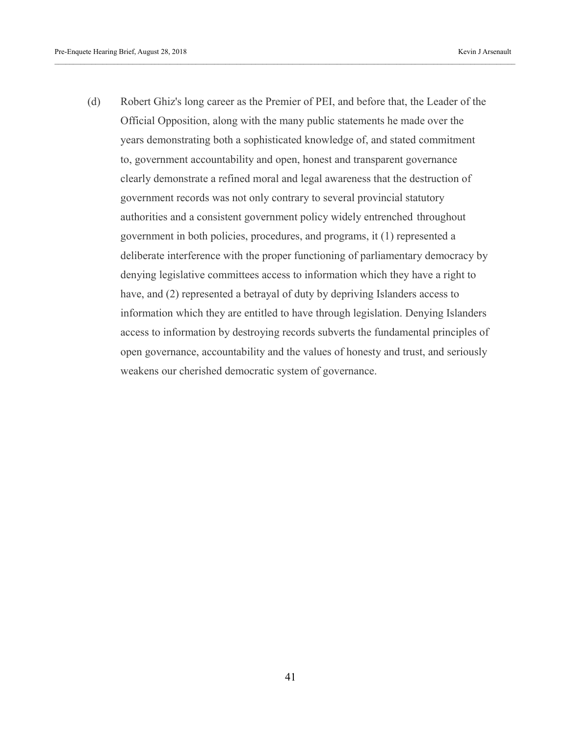(d) Robert Ghiz's long career as the Premier of PEI, and before that, the Leader of the Official Opposition, along with the many public statements he made over the years demonstrating both a sophisticated knowledge of, and stated commitment to, government accountability and open, honest and transparent governance clearly demonstrate a refined moral and legal awareness that the destruction of government records was not only contrary to several provincial statutory authorities and a consistent government policy widely entrenched throughout government in both policies, procedures, and programs, it (1) represented a deliberate interference with the proper functioning of parliamentary democracy by denying legislative committees access to information which they have a right to have, and (2) represented a betrayal of duty by depriving Islanders access to information which they are entitled to have through legislation. Denying Islanders access to information by destroying records subverts the fundamental principles of open governance, accountability and the values of honesty and trust, and seriously weakens our cherished democratic system of governance.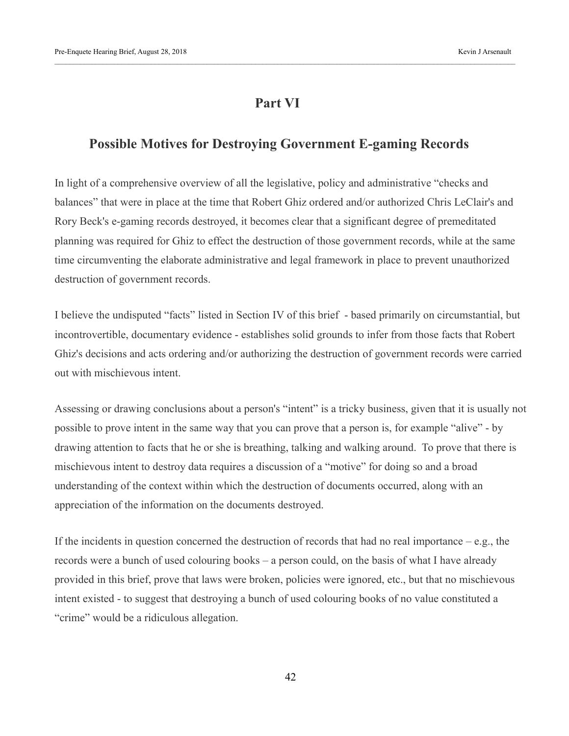# **Part VI**

# **Possible Motives for Destroying Government E-gaming Records**

In light of a comprehensive overview of all the legislative, policy and administrative "checks and balances" that were in place at the time that Robert Ghiz ordered and/or authorized Chris LeClair's and Rory Beck's e-gaming records destroyed, it becomes clear that a significant degree of premeditated planning was required for Ghiz to effect the destruction of those government records, while at the same time circumventing the elaborate administrative and legal framework in place to prevent unauthorized destruction of government records.

I believe the undisputed "facts" listed in Section IV of this brief - based primarily on circumstantial, but incontrovertible, documentary evidence - establishes solid grounds to infer from those facts that Robert Ghiz's decisions and acts ordering and/or authorizing the destruction of government records were carried out with mischievous intent.

Assessing or drawing conclusions about a person's "intent" is a tricky business, given that it is usually not possible to prove intent in the same way that you can prove that a person is, for example "alive" - by drawing attention to facts that he or she is breathing, talking and walking around. To prove that there is mischievous intent to destroy data requires a discussion of a "motive" for doing so and a broad understanding of the context within which the destruction of documents occurred, along with an appreciation of the information on the documents destroyed.

If the incidents in question concerned the destruction of records that had no real importance – e.g., the records were a bunch of used colouring books – a person could, on the basis of what I have already provided in this brief, prove that laws were broken, policies were ignored, etc., but that no mischievous intent existed - to suggest that destroying a bunch of used colouring books of no value constituted a "crime" would be a ridiculous allegation.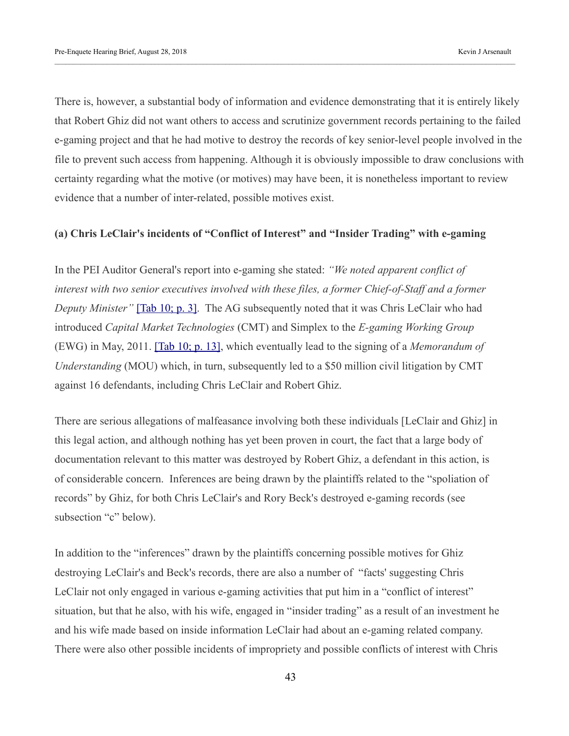There is, however, a substantial body of information and evidence demonstrating that it is entirely likely that Robert Ghiz did not want others to access and scrutinize government records pertaining to the failed e-gaming project and that he had motive to destroy the records of key senior-level people involved in the file to prevent such access from happening. Although it is obviously impossible to draw conclusions with certainty regarding what the motive (or motives) may have been, it is nonetheless important to review evidence that a number of inter-related, possible motives exist.

#### **(a) Chris LeClair's incidents of "Conflict of Interest" and "Insider Trading" with e-gaming**

In the PEI Auditor General's report into e-gaming she stated: *"We noted apparent conflict of interest with two senior executives involved with these files, a former Chief-of-Staff and a former Deputy Minister*" [\[Tab 10; p. 3\].](https://kja321.files.wordpress.com/2018/08/tab-10-auditor-general-report-on-egaming.pdf) The AG subsequently noted that it was Chris LeClair who had introduced *Capital Market Technologies* (CMT) and Simplex to the *E-gaming Working Group* (EWG) in May, 2011. [\[Tab 10; p. 13\],](https://kja321.files.wordpress.com/2018/08/tab-10-auditor-general-report-on-egaming.pdf) which eventually lead to the signing of a *Memorandum of Understanding* (MOU) which, in turn, subsequently led to a \$50 million civil litigation by CMT against 16 defendants, including Chris LeClair and Robert Ghiz.

There are serious allegations of malfeasance involving both these individuals [LeClair and Ghiz] in this legal action, and although nothing has yet been proven in court, the fact that a large body of documentation relevant to this matter was destroyed by Robert Ghiz, a defendant in this action, is of considerable concern. Inferences are being drawn by the plaintiffs related to the "spoliation of records" by Ghiz, for both Chris LeClair's and Rory Beck's destroyed e-gaming records (see subsection "c" below).

In addition to the "inferences" drawn by the plaintiffs concerning possible motives for Ghiz destroying LeClair's and Beck's records, there are also a number of "facts' suggesting Chris LeClair not only engaged in various e-gaming activities that put him in a "conflict of interest" situation, but that he also, with his wife, engaged in "insider trading" as a result of an investment he and his wife made based on inside information LeClair had about an e-gaming related company. There were also other possible incidents of impropriety and possible conflicts of interest with Chris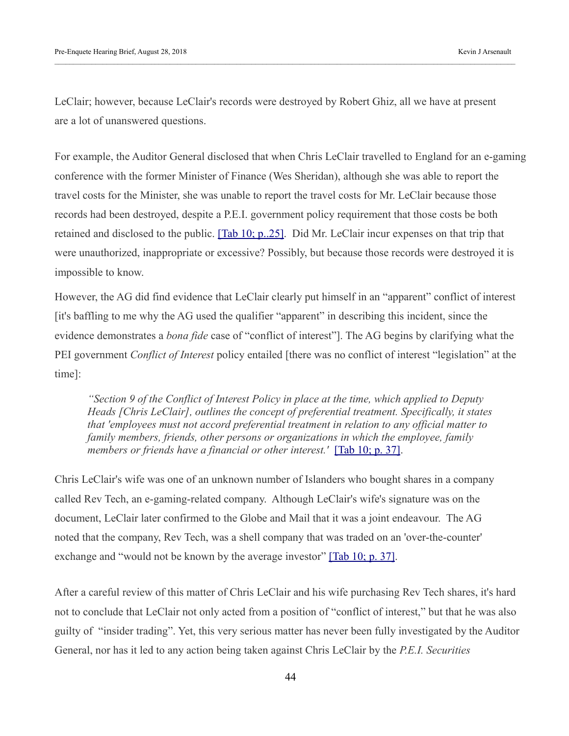LeClair; however, because LeClair's records were destroyed by Robert Ghiz, all we have at present are a lot of unanswered questions.

For example, the Auditor General disclosed that when Chris LeClair travelled to England for an e-gaming conference with the former Minister of Finance (Wes Sheridan), although she was able to report the travel costs for the Minister, she was unable to report the travel costs for Mr. LeClair because those records had been destroyed, despite a P.E.I. government policy requirement that those costs be both retained and disclosed to the public. **[Tab 10; p..25]**. Did Mr. LeClair incur expenses on that trip that were unauthorized, inappropriate or excessive? Possibly, but because those records were destroyed it is impossible to know.

However, the AG did find evidence that LeClair clearly put himself in an "apparent" conflict of interest [it's baffling to me why the AG used the qualifier "apparent" in describing this incident, since the evidence demonstrates a *bona fide* case of "conflict of interest"]. The AG begins by clarifying what the PEI government *Conflict of Interest* policy entailed [there was no conflict of interest "legislation" at the time]:

*"Section 9 of the Conflict of Interest Policy in place at the time, which applied to Deputy Heads [Chris LeClair], outlines the concept of preferential treatment. Specifically, it states that 'employees must not accord preferential treatment in relation to any official matter to family members, friends, other persons or organizations in which the employee, family members or friends have a financial or other interest.'* [\[Tab 10; p. 37\].](https://kja321.files.wordpress.com/2018/08/tab-10-auditor-general-report-on-egaming.pdf)

Chris LeClair's wife was one of an unknown number of Islanders who bought shares in a company called Rev Tech, an e-gaming-related company. Although LeClair's wife's signature was on the document, LeClair later confirmed to the Globe and Mail that it was a joint endeavour. The AG noted that the company, Rev Tech, was a shell company that was traded on an 'over-the-counter' exchange and "would not be known by the average investor" [\[Tab 10; p. 37\].](https://kja321.files.wordpress.com/2018/08/tab-10-auditor-general-report-on-egaming.pdf)

After a careful review of this matter of Chris LeClair and his wife purchasing Rev Tech shares, it's hard not to conclude that LeClair not only acted from a position of "conflict of interest," but that he was also guilty of "insider trading". Yet, this very serious matter has never been fully investigated by the Auditor General, nor has it led to any action being taken against Chris LeClair by the *P.E.I. Securities*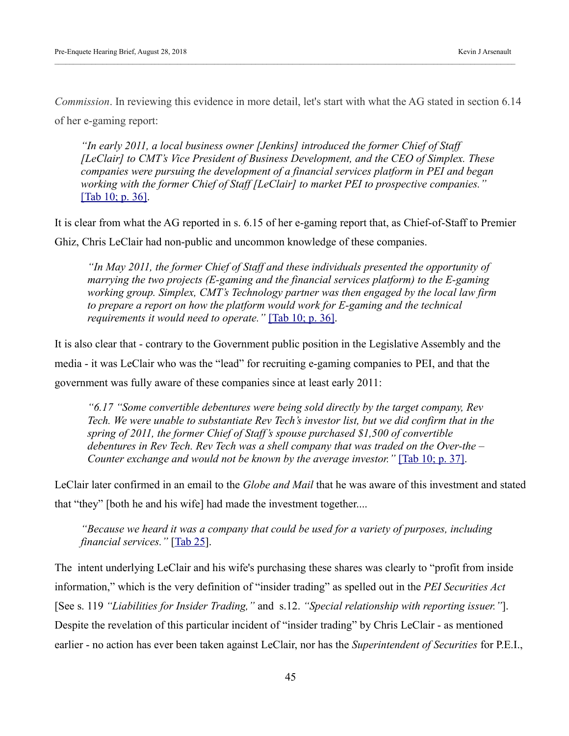*Commission*. In reviewing this evidence in more detail, let's start with what the AG stated in section 6.14 of her e-gaming report:

*"In early 2011, a local business owner [Jenkins] introduced the former Chief of Staff [LeClair] to CMT's Vice President of Business Development, and the CEO of Simplex. These companies were pursuing the development of a financial services platform in PEI and began working with the former Chief of Staff [LeClair] to market PEI to prospective companies."*  [\[Tab 10; p. 36\].](https://kja321.files.wordpress.com/2018/08/tab-10-auditor-general-report-on-egaming.pdf)

It is clear from what the AG reported in s. 6.15 of her e-gaming report that, as Chief-of-Staff to Premier Ghiz, Chris LeClair had non-public and uncommon knowledge of these companies.

*"In May 2011, the former Chief of Staff and these individuals presented the opportunity of marrying the two projects (E-gaming and the financial services platform) to the E-gaming working group. Simplex, CMT's Technology partner was then engaged by the local law firm to prepare a report on how the platform would work for E-gaming and the technical requirements it would need to operate."* [\[Tab 10; p. 36\].](https://kja321.files.wordpress.com/2018/08/tab-10-auditor-general-report-on-egaming.pdf)

It is also clear that - contrary to the Government public position in the Legislative Assembly and the media - it was LeClair who was the "lead" for recruiting e-gaming companies to PEI, and that the government was fully aware of these companies since at least early 2011:

*"6.17 "Some convertible debentures were being sold directly by the target company, Rev Tech. We were unable to substantiate Rev Tech's investor list, but we did confirm that in the spring of 2011, the former Chief of Staff's spouse purchased \$1,500 of convertible debentures in Rev Tech. Rev Tech was a shell company that was traded on the Over-the – Counter exchange and would not be known by the average investor."* [\[Tab 10; p. 37\].](https://kja321.files.wordpress.com/2018/08/tab-10-auditor-general-report-on-egaming.pdf)

LeClair later confirmed in an email to the *Globe and Mail* that he was aware of this investment and stated that "they" [both he and his wife] had made the investment together....

*"Because we heard it was a company that could be used for a variety of purposes, including financial services."* [\[Tab 25\]](https://kja321.files.wordpress.com/2018/08/tab-25-2015-02-27-globe-and-mail-egaming-article.pdf).

The intent underlying LeClair and his wife's purchasing these shares was clearly to "profit from inside information," which is the very definition of "insider trading" as spelled out in the *PEI Securities Act* [See s. 119 *"Liabilities for Insider Trading,"* and s.12. *"Special relationship with reporting issuer."*]. Despite the revelation of this particular incident of "insider trading" by Chris LeClair - as mentioned earlier - no action has ever been taken against LeClair, nor has the *Superintendent of Securities* for P.E.I.,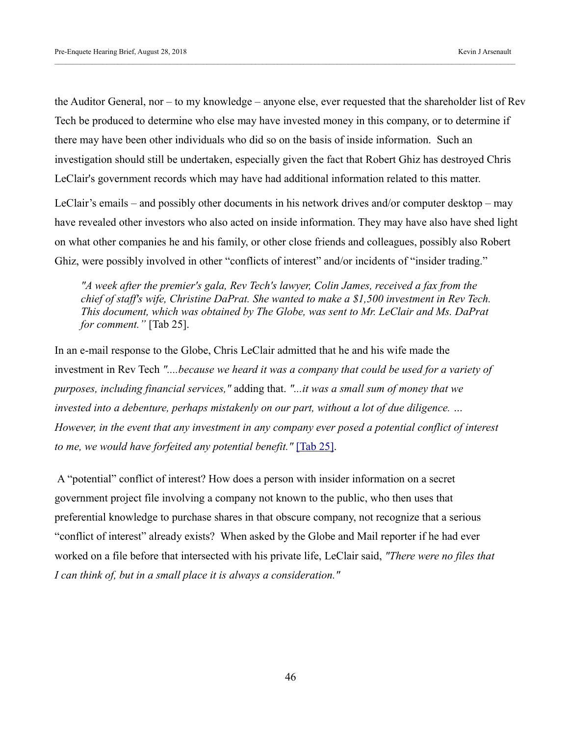the Auditor General, nor – to my knowledge – anyone else, ever requested that the shareholder list of Rev Tech be produced to determine who else may have invested money in this company, or to determine if there may have been other individuals who did so on the basis of inside information. Such an investigation should still be undertaken, especially given the fact that Robert Ghiz has destroyed Chris LeClair's government records which may have had additional information related to this matter.

LeClair's emails – and possibly other documents in his network drives and/or computer desktop – may have revealed other investors who also acted on inside information. They may have also have shed light on what other companies he and his family, or other close friends and colleagues, possibly also Robert Ghiz, were possibly involved in other "conflicts of interest" and/or incidents of "insider trading."

*"A week after the premier's gala, Rev Tech's lawyer, Colin James, received a fax from the chief of staff's wife, Christine DaPrat. She wanted to make a \$1,500 investment in Rev Tech. This document, which was obtained by The Globe, was sent to Mr. LeClair and Ms. DaPrat for comment."* [Tab 25].

In an e-mail response to the Globe, Chris LeClair admitted that he and his wife made the investment in Rev Tech *"....because we heard it was a company that could be used for a variety of purposes, including financial services,"* adding that. *"...it was a small sum of money that we invested into a debenture, perhaps mistakenly on our part, without a lot of due diligence. … However, in the event that any investment in any company ever posed a potential conflict of interest to me, we would have forfeited any potential benefit."* [\[Tab 25\].](https://kja321.files.wordpress.com/2018/08/tab-25-2015-02-27-globe-and-mail-egaming-article.pdf)

A "potential" conflict of interest? How does a person with insider information on a secret government project file involving a company not known to the public, who then uses that preferential knowledge to purchase shares in that obscure company, not recognize that a serious "conflict of interest" already exists? When asked by the Globe and Mail reporter if he had ever worked on a file before that intersected with his private life, LeClair said, *"There were no files that I can think of, but in a small place it is always a consideration."*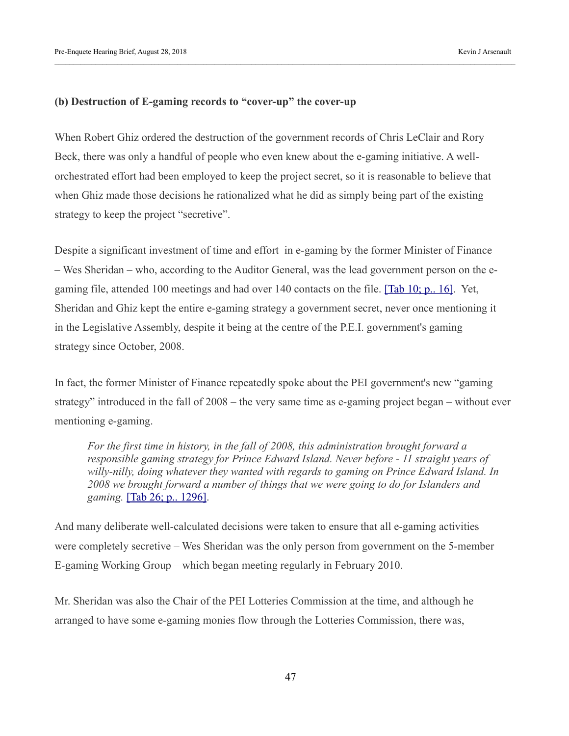#### **(b) Destruction of E-gaming records to "cover-up" the cover-up**

When Robert Ghiz ordered the destruction of the government records of Chris LeClair and Rory Beck, there was only a handful of people who even knew about the e-gaming initiative. A wellorchestrated effort had been employed to keep the project secret, so it is reasonable to believe that when Ghiz made those decisions he rationalized what he did as simply being part of the existing strategy to keep the project "secretive".

Despite a significant investment of time and effort in e-gaming by the former Minister of Finance – Wes Sheridan – who, according to the Auditor General, was the lead government person on the egaming file, attended 100 meetings and had over 140 contacts on the file. [Tab 10; p., 16]. Yet, Sheridan and Ghiz kept the entire e-gaming strategy a government secret, never once mentioning it in the Legislative Assembly, despite it being at the centre of the P.E.I. government's gaming strategy since October, 2008.

In fact, the former Minister of Finance repeatedly spoke about the PEI government's new "gaming strategy" introduced in the fall of 2008 – the very same time as e-gaming project began – without ever mentioning e-gaming.

*For the first time in history, in the fall of 2008, this administration brought forward a responsible gaming strategy for Prince Edward Island. Never before - 11 straight years of willy-nilly, doing whatever they wanted with regards to gaming on Prince Edward Island. In 2008 we brought forward a number of things that we were going to do for Islanders and gaming.* [\[Tab 26; p.. 1296\].](https://kja321.files.wordpress.com/2018/08/tab-26-gaming-quote-from-wes-sheridan-08-05-09-hansard.pdf)

And many deliberate well-calculated decisions were taken to ensure that all e-gaming activities were completely secretive – Wes Sheridan was the only person from government on the 5-member E-gaming Working Group – which began meeting regularly in February 2010.

Mr. Sheridan was also the Chair of the PEI Lotteries Commission at the time, and although he arranged to have some e-gaming monies flow through the Lotteries Commission, there was,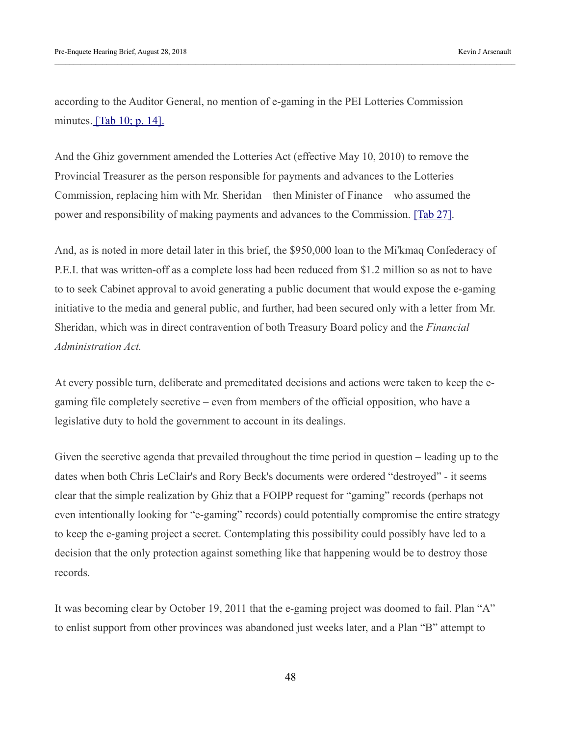according to the Auditor General, no mention of e-gaming in the PEI Lotteries Commission minutes.  $\boxed{\text{Tab }10; \text{p. }14}$ .

And the Ghiz government amended the Lotteries Act (effective May 10, 2010) to remove the Provincial Treasurer as the person responsible for payments and advances to the Lotteries Commission, replacing him with Mr. Sheridan – then Minister of Finance – who assumed the power and responsibility of making payments and advances to the Commission. [\[Tab 27\].](https://kja321.files.wordpress.com/2018/08/tab-27-comparison-of-two-versions-of-lotteries-act.jpg)

And, as is noted in more detail later in this brief, the \$950,000 loan to the Mi'kmaq Confederacy of P.E.I. that was written-off as a complete loss had been reduced from \$1.2 million so as not to have to to seek Cabinet approval to avoid generating a public document that would expose the e-gaming initiative to the media and general public, and further, had been secured only with a letter from Mr. Sheridan, which was in direct contravention of both Treasury Board policy and the *Financial Administration Act.* 

At every possible turn, deliberate and premeditated decisions and actions were taken to keep the egaming file completely secretive – even from members of the official opposition, who have a legislative duty to hold the government to account in its dealings.

Given the secretive agenda that prevailed throughout the time period in question – leading up to the dates when both Chris LeClair's and Rory Beck's documents were ordered "destroyed" - it seems clear that the simple realization by Ghiz that a FOIPP request for "gaming" records (perhaps not even intentionally looking for "e-gaming" records) could potentially compromise the entire strategy to keep the e-gaming project a secret. Contemplating this possibility could possibly have led to a decision that the only protection against something like that happening would be to destroy those records.

It was becoming clear by October 19, 2011 that the e-gaming project was doomed to fail. Plan "A" to enlist support from other provinces was abandoned just weeks later, and a Plan "B" attempt to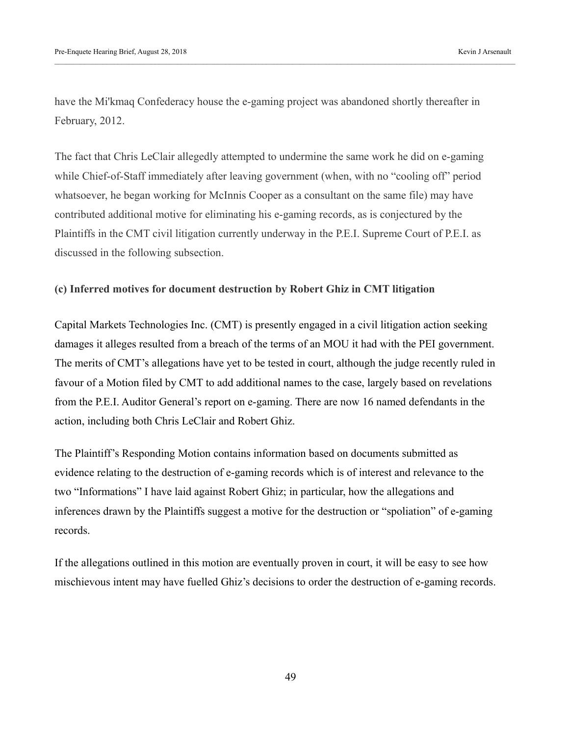have the Mi'kmaq Confederacy house the e-gaming project was abandoned shortly thereafter in February, 2012.

The fact that Chris LeClair allegedly attempted to undermine the same work he did on e-gaming while Chief-of-Staff immediately after leaving government (when, with no "cooling off" period whatsoever, he began working for McInnis Cooper as a consultant on the same file) may have contributed additional motive for eliminating his e-gaming records, as is conjectured by the Plaintiffs in the CMT civil litigation currently underway in the P.E.I. Supreme Court of P.E.I. as discussed in the following subsection.

#### **(c) Inferred motives for document destruction by Robert Ghiz in CMT litigation**

Capital Markets Technologies Inc. (CMT) is presently engaged in a civil litigation action seeking damages it alleges resulted from a breach of the terms of an MOU it had with the PEI government. The merits of CMT's allegations have yet to be tested in court, although the judge recently ruled in favour of a Motion filed by CMT to add additional names to the case, largely based on revelations from the P.E.I. Auditor General's report on e-gaming. There are now 16 named defendants in the action, including both Chris LeClair and Robert Ghiz.

The Plaintiff's Responding Motion contains information based on documents submitted as evidence relating to the destruction of e-gaming records which is of interest and relevance to the two "Informations" I have laid against Robert Ghiz; in particular, how the allegations and inferences drawn by the Plaintiffs suggest a motive for the destruction or "spoliation" of e-gaming records.

If the allegations outlined in this motion are eventually proven in court, it will be easy to see how mischievous intent may have fuelled Ghiz's decisions to order the destruction of e-gaming records.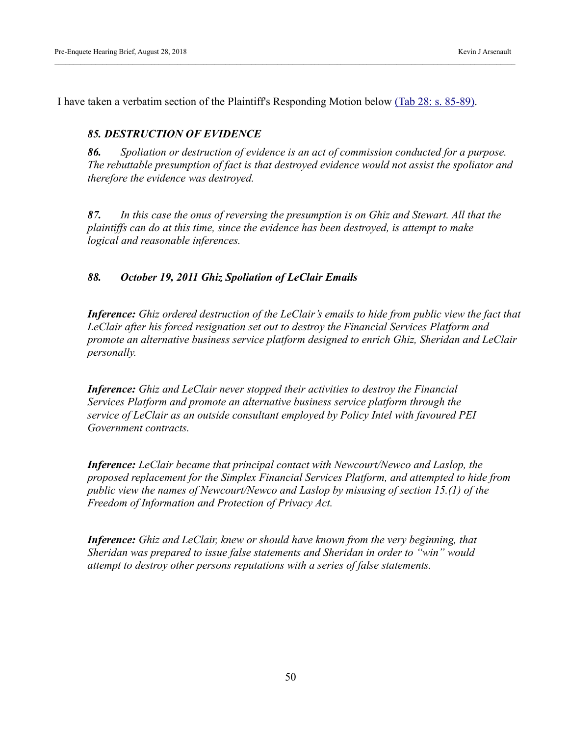I have taken a verbatim section of the Plaintiff's Responding Motion below [\(Tab 28: s. 85-89\).](https://kja321.files.wordpress.com/2018/08/tab-28-cmt-security-motion-responding-factum.pdf)

#### *85. DESTRUCTION OF EVIDENCE*

*86. Spoliation or destruction of evidence is an act of commission conducted for a purpose. The rebuttable presumption of fact is that destroyed evidence would not assist the spoliator and therefore the evidence was destroyed.*

*87. In this case the onus of reversing the presumption is on Ghiz and Stewart. All that the plaintiffs can do at this time, since the evidence has been destroyed, is attempt to make logical and reasonable inferences.*

#### *88. October 19, 2011 Ghiz Spoliation of LeClair Emails*

*Inference: Ghiz ordered destruction of the LeClair's emails to hide from public view the fact that LeClair after his forced resignation set out to destroy the Financial Services Platform and promote an alternative business service platform designed to enrich Ghiz, Sheridan and LeClair personally.*

*Inference: Ghiz and LeClair never stopped their activities to destroy the Financial Services Platform and promote an alternative business service platform through the service of LeClair as an outside consultant employed by Policy Intel with favoured PEI Government contracts.*

*Inference: LeClair became that principal contact with Newcourt/Newco and Laslop, the proposed replacement for the Simplex Financial Services Platform, and attempted to hide from public view the names of Newcourt/Newco and Laslop by misusing of section 15.(1) of the Freedom of Information and Protection of Privacy Act.*

*Inference: Ghiz and LeClair, knew or should have known from the very beginning, that Sheridan was prepared to issue false statements and Sheridan in order to "win" would attempt to destroy other persons reputations with a series of false statements.*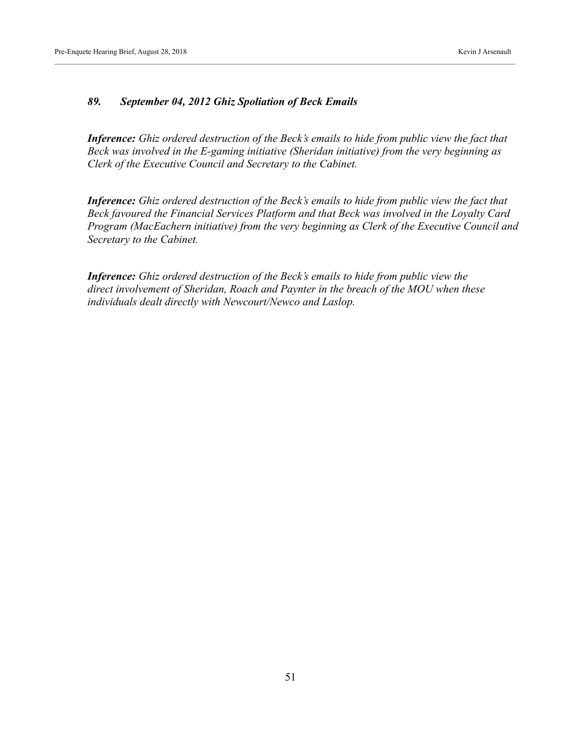#### *89. September 04, 2012 Ghiz Spoliation of Beck Emails*

*Inference: Ghiz ordered destruction of the Beck's emails to hide from public view the fact that Beck was involved in the E-gaming initiative (Sheridan initiative) from the very beginning as Clerk of the Executive Council and Secretary to the Cabinet.*

*Inference: Ghiz ordered destruction of the Beck's emails to hide from public view the fact that Beck favoured the Financial Services Platform and that Beck was involved in the Loyalty Card Program (MacEachern initiative) from the very beginning as Clerk of the Executive Council and Secretary to the Cabinet.*

*Inference: Ghiz ordered destruction of the Beck's emails to hide from public view the direct involvement of Sheridan, Roach and Paynter in the breach of the MOU when these individuals dealt directly with Newcourt/Newco and Laslop.*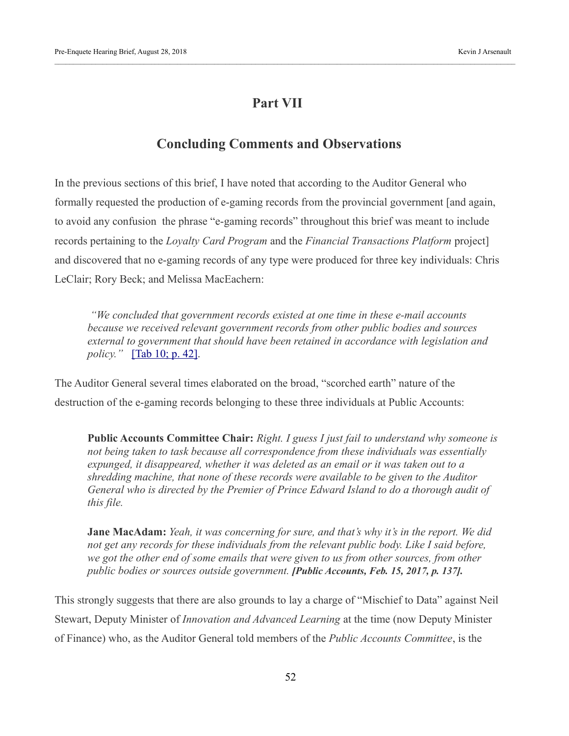# **Part VII**

# **Concluding Comments and Observations**

In the previous sections of this brief, I have noted that according to the Auditor General who formally requested the production of e-gaming records from the provincial government [and again, to avoid any confusion the phrase "e-gaming records" throughout this brief was meant to include records pertaining to the *Loyalty Card Program* and the *Financial Transactions Platform* project] and discovered that no e-gaming records of any type were produced for three key individuals: Chris LeClair; Rory Beck; and Melissa MacEachern:

 *"We concluded that government records existed at one time in these e-mail accounts because we received relevant government records from other public bodies and sources external to government that should have been retained in accordance with legislation and policy."* [\[Tab 10; p. 42\].](https://kja321.files.wordpress.com/2018/08/tab-10-auditor-general-report-on-egaming.pdf)

The Auditor General several times elaborated on the broad, "scorched earth" nature of the destruction of the e-gaming records belonging to these three individuals at Public Accounts:

**Public Accounts Committee Chair:** *Right. I guess I just fail to understand why someone is not being taken to task because all correspondence from these individuals was essentially expunged, it disappeared, whether it was deleted as an email or it was taken out to a shredding machine, that none of these records were available to be given to the Auditor General who is directed by the Premier of Prince Edward Island to do a thorough audit of this file.*

**Jane MacAdam:** *Yeah, it was concerning for sure, and that's why it's in the report. We did not get any records for these individuals from the relevant public body. Like I said before, we got the other end of some emails that were given to us from other sources, from other public bodies or sources outside government. [Public Accounts, Feb. 15, 2017, p. 137].*

This strongly suggests that there are also grounds to lay a charge of "Mischief to Data" against Neil Stewart, Deputy Minister of *Innovation and Advanced Learning* at the time (now Deputy Minister of Finance) who, as the Auditor General told members of the *Public Accounts Committee*, is the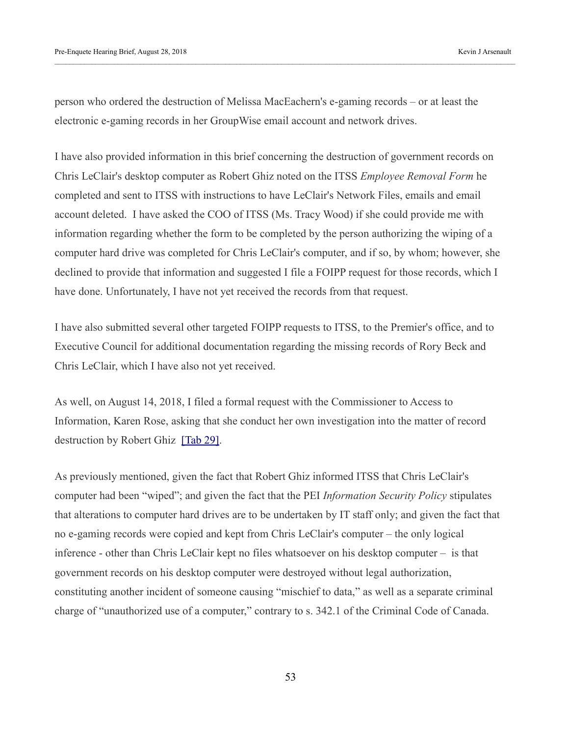person who ordered the destruction of Melissa MacEachern's e-gaming records – or at least the electronic e-gaming records in her GroupWise email account and network drives.

I have also provided information in this brief concerning the destruction of government records on Chris LeClair's desktop computer as Robert Ghiz noted on the ITSS *Employee Removal Form* he completed and sent to ITSS with instructions to have LeClair's Network Files, emails and email account deleted. I have asked the COO of ITSS (Ms. Tracy Wood) if she could provide me with information regarding whether the form to be completed by the person authorizing the wiping of a computer hard drive was completed for Chris LeClair's computer, and if so, by whom; however, she declined to provide that information and suggested I file a FOIPP request for those records, which I have done. Unfortunately, I have not yet received the records from that request.

I have also submitted several other targeted FOIPP requests to ITSS, to the Premier's office, and to Executive Council for additional documentation regarding the missing records of Rory Beck and Chris LeClair, which I have also not yet received.

As well, on August 14, 2018, I filed a formal request with the Commissioner to Access to Information, Karen Rose, asking that she conduct her own investigation into the matter of record destruction by Robert Ghiz [\[Tab 29\].](https://kja321.files.wordpress.com/2018/08/tab-29-august-14-2018-letter-to-karen-rose-commissioner.pdf)

As previously mentioned, given the fact that Robert Ghiz informed ITSS that Chris LeClair's computer had been "wiped"; and given the fact that the PEI *Information Security Policy* stipulates that alterations to computer hard drives are to be undertaken by IT staff only; and given the fact that no e-gaming records were copied and kept from Chris LeClair's computer – the only logical inference - other than Chris LeClair kept no files whatsoever on his desktop computer – is that government records on his desktop computer were destroyed without legal authorization, constituting another incident of someone causing "mischief to data," as well as a separate criminal charge of "unauthorized use of a computer," contrary to s. 342.1 of the Criminal Code of Canada.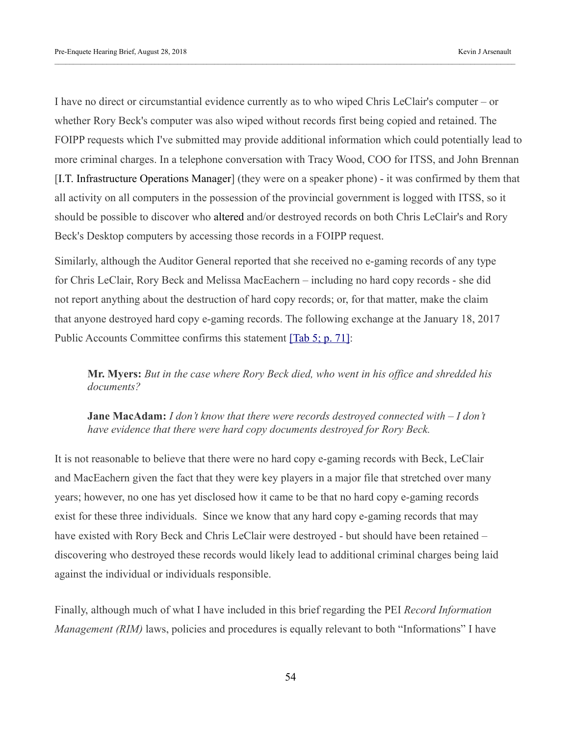I have no direct or circumstantial evidence currently as to who wiped Chris LeClair's computer – or whether Rory Beck's computer was also wiped without records first being copied and retained. The FOIPP requests which I've submitted may provide additional information which could potentially lead to more criminal charges. In a telephone conversation with Tracy Wood, COO for ITSS, and John Brennan [I.T. Infrastructure Operations Manager] (they were on a speaker phone) - it was confirmed by them that all activity on all computers in the possession of the provincial government is logged with ITSS, so it should be possible to discover who altered and/or destroyed records on both Chris LeClair's and Rory Beck's Desktop computers by accessing those records in a FOIPP request.

Similarly, although the Auditor General reported that she received no e-gaming records of any type for Chris LeClair, Rory Beck and Melissa MacEachern – including no hard copy records - she did not report anything about the destruction of hard copy records; or, for that matter, make the claim that anyone destroyed hard copy e-gaming records. The following exchange at the January 18, 2017 Public Accounts Committee confirms this statement [\[Tab 5; p. 71\]:](https://kja321.files.wordpress.com/2018/08/tab-5-january-18-2017-public-accounts-transcript.pdf)

**Mr. Myers:** *But in the case where Rory Beck died, who went in his office and shredded his documents?* 

**Jane MacAdam:** *I don't know that there were records destroyed connected with – I don't have evidence that there were hard copy documents destroyed for Rory Beck.*

It is not reasonable to believe that there were no hard copy e-gaming records with Beck, LeClair and MacEachern given the fact that they were key players in a major file that stretched over many years; however, no one has yet disclosed how it came to be that no hard copy e-gaming records exist for these three individuals. Since we know that any hard copy e-gaming records that may have existed with Rory Beck and Chris LeClair were destroyed - but should have been retained – discovering who destroyed these records would likely lead to additional criminal charges being laid against the individual or individuals responsible.

Finally, although much of what I have included in this brief regarding the PEI *Record Information Management (RIM)* laws, policies and procedures is equally relevant to both "Informations" I have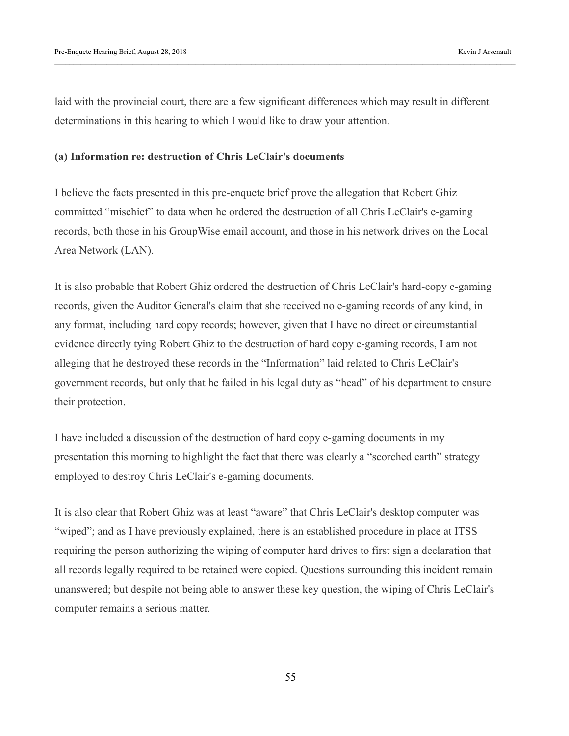laid with the provincial court, there are a few significant differences which may result in different determinations in this hearing to which I would like to draw your attention.

#### **(a) Information re: destruction of Chris LeClair's documents**

I believe the facts presented in this pre-enquete brief prove the allegation that Robert Ghiz committed "mischief" to data when he ordered the destruction of all Chris LeClair's e-gaming records, both those in his GroupWise email account, and those in his network drives on the Local Area Network (LAN).

It is also probable that Robert Ghiz ordered the destruction of Chris LeClair's hard-copy e-gaming records, given the Auditor General's claim that she received no e-gaming records of any kind, in any format, including hard copy records; however, given that I have no direct or circumstantial evidence directly tying Robert Ghiz to the destruction of hard copy e-gaming records, I am not alleging that he destroyed these records in the "Information" laid related to Chris LeClair's government records, but only that he failed in his legal duty as "head" of his department to ensure their protection.

I have included a discussion of the destruction of hard copy e-gaming documents in my presentation this morning to highlight the fact that there was clearly a "scorched earth" strategy employed to destroy Chris LeClair's e-gaming documents.

It is also clear that Robert Ghiz was at least "aware" that Chris LeClair's desktop computer was "wiped"; and as I have previously explained, there is an established procedure in place at ITSS requiring the person authorizing the wiping of computer hard drives to first sign a declaration that all records legally required to be retained were copied. Questions surrounding this incident remain unanswered; but despite not being able to answer these key question, the wiping of Chris LeClair's computer remains a serious matter.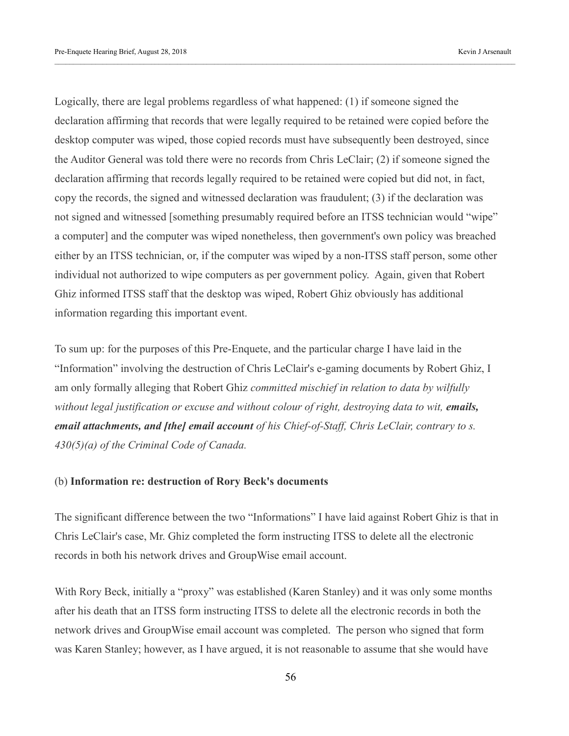Logically, there are legal problems regardless of what happened: (1) if someone signed the declaration affirming that records that were legally required to be retained were copied before the desktop computer was wiped, those copied records must have subsequently been destroyed, since the Auditor General was told there were no records from Chris LeClair; (2) if someone signed the declaration affirming that records legally required to be retained were copied but did not, in fact, copy the records, the signed and witnessed declaration was fraudulent; (3) if the declaration was not signed and witnessed [something presumably required before an ITSS technician would "wipe" a computer] and the computer was wiped nonetheless, then government's own policy was breached either by an ITSS technician, or, if the computer was wiped by a non-ITSS staff person, some other individual not authorized to wipe computers as per government policy. Again, given that Robert Ghiz informed ITSS staff that the desktop was wiped, Robert Ghiz obviously has additional information regarding this important event.

To sum up: for the purposes of this Pre-Enquete, and the particular charge I have laid in the "Information" involving the destruction of Chris LeClair's e-gaming documents by Robert Ghiz, I am only formally alleging that Robert Ghiz *committed mischief in relation to data by wilfully without legal justification or excuse and without colour of right, destroying data to wit, emails, email attachments, and [the] email account of his Chief-of-Staff, Chris LeClair, contrary to s. 430(5)(a) of the Criminal Code of Canada.* 

#### (b) **Information re: destruction of Rory Beck's documents**

The significant difference between the two "Informations" I have laid against Robert Ghiz is that in Chris LeClair's case, Mr. Ghiz completed the form instructing ITSS to delete all the electronic records in both his network drives and GroupWise email account.

With Rory Beck, initially a "proxy" was established (Karen Stanley) and it was only some months after his death that an ITSS form instructing ITSS to delete all the electronic records in both the network drives and GroupWise email account was completed. The person who signed that form was Karen Stanley; however, as I have argued, it is not reasonable to assume that she would have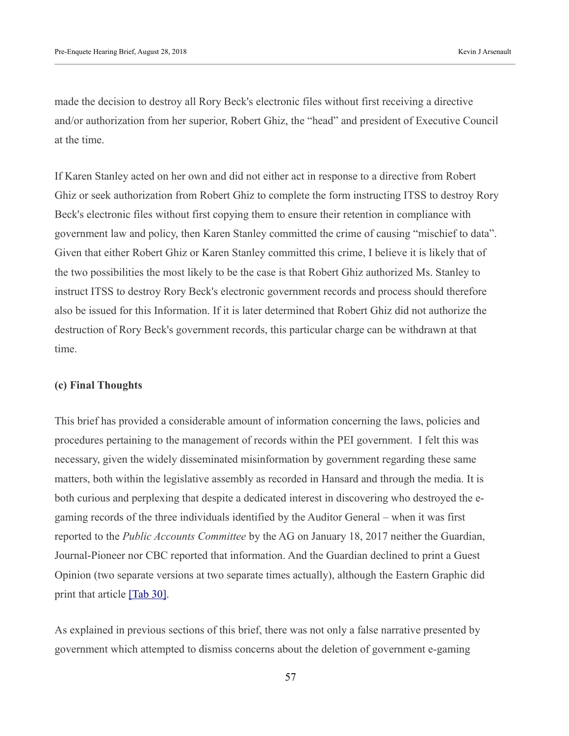made the decision to destroy all Rory Beck's electronic files without first receiving a directive and/or authorization from her superior, Robert Ghiz, the "head" and president of Executive Council at the time.

If Karen Stanley acted on her own and did not either act in response to a directive from Robert Ghiz or seek authorization from Robert Ghiz to complete the form instructing ITSS to destroy Rory Beck's electronic files without first copying them to ensure their retention in compliance with government law and policy, then Karen Stanley committed the crime of causing "mischief to data". Given that either Robert Ghiz or Karen Stanley committed this crime, I believe it is likely that of the two possibilities the most likely to be the case is that Robert Ghiz authorized Ms. Stanley to instruct ITSS to destroy Rory Beck's electronic government records and process should therefore also be issued for this Information. If it is later determined that Robert Ghiz did not authorize the destruction of Rory Beck's government records, this particular charge can be withdrawn at that time.

#### **(c) Final Thoughts**

This brief has provided a considerable amount of information concerning the laws, policies and procedures pertaining to the management of records within the PEI government. I felt this was necessary, given the widely disseminated misinformation by government regarding these same matters, both within the legislative assembly as recorded in Hansard and through the media. It is both curious and perplexing that despite a dedicated interest in discovering who destroyed the egaming records of the three individuals identified by the Auditor General – when it was first reported to the *Public Accounts Committee* by the AG on January 18, 2017 neither the Guardian, Journal-Pioneer nor CBC reported that information. And the Guardian declined to print a Guest Opinion (two separate versions at two separate times actually), although the Eastern Graphic did print that article  $[Tab 30]$ .

As explained in previous sections of this brief, there was not only a false narrative presented by government which attempted to dismiss concerns about the deletion of government e-gaming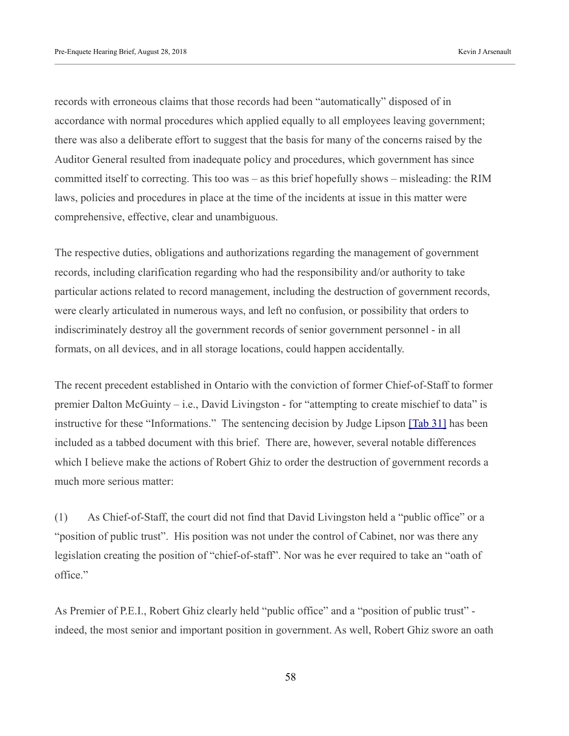records with erroneous claims that those records had been "automatically" disposed of in accordance with normal procedures which applied equally to all employees leaving government; there was also a deliberate effort to suggest that the basis for many of the concerns raised by the Auditor General resulted from inadequate policy and procedures, which government has since committed itself to correcting. This too was – as this brief hopefully shows – misleading: the RIM laws, policies and procedures in place at the time of the incidents at issue in this matter were comprehensive, effective, clear and unambiguous.

The respective duties, obligations and authorizations regarding the management of government records, including clarification regarding who had the responsibility and/or authority to take particular actions related to record management, including the destruction of government records, were clearly articulated in numerous ways, and left no confusion, or possibility that orders to indiscriminately destroy all the government records of senior government personnel - in all formats, on all devices, and in all storage locations, could happen accidentally.

The recent precedent established in Ontario with the conviction of former Chief-of-Staff to former premier Dalton McGuinty – i.e., David Livingston - for "attempting to create mischief to data" is instructive for these "Informations." The sentencing decision by Judge Lipson [\[Tab 31\]](https://kja321.files.wordpress.com/2018/08/tab-31-livingston-sentence.pdf) has been included as a tabbed document with this brief. There are, however, several notable differences which I believe make the actions of Robert Ghiz to order the destruction of government records a much more serious matter:

(1) As Chief-of-Staff, the court did not find that David Livingston held a "public office" or a "position of public trust". His position was not under the control of Cabinet, nor was there any legislation creating the position of "chief-of-staff". Nor was he ever required to take an "oath of office."

As Premier of P.E.I., Robert Ghiz clearly held "public office" and a "position of public trust" indeed, the most senior and important position in government. As well, Robert Ghiz swore an oath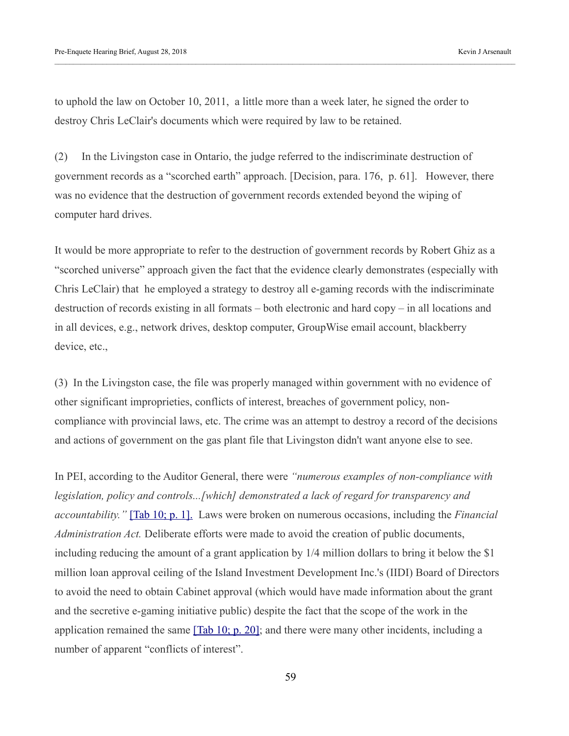to uphold the law on October 10, 2011, a little more than a week later, he signed the order to destroy Chris LeClair's documents which were required by law to be retained.

(2) In the Livingston case in Ontario, the judge referred to the indiscriminate destruction of government records as a "scorched earth" approach. [Decision, para. 176, p. 61]. However, there was no evidence that the destruction of government records extended beyond the wiping of computer hard drives.

It would be more appropriate to refer to the destruction of government records by Robert Ghiz as a "scorched universe" approach given the fact that the evidence clearly demonstrates (especially with Chris LeClair) that he employed a strategy to destroy all e-gaming records with the indiscriminate destruction of records existing in all formats – both electronic and hard copy – in all locations and in all devices, e.g., network drives, desktop computer, GroupWise email account, blackberry device, etc.,

(3) In the Livingston case, the file was properly managed within government with no evidence of other significant improprieties, conflicts of interest, breaches of government policy, noncompliance with provincial laws, etc. The crime was an attempt to destroy a record of the decisions and actions of government on the gas plant file that Livingston didn't want anyone else to see.

In PEI, according to the Auditor General, there were *"numerous examples of non-compliance with legislation, policy and controls...[which] demonstrated a lack of regard for transparency and accountability."* [\[Tab 10; p. 1\].](https://kja321.files.wordpress.com/2018/08/tab-10-auditor-general-report-on-egaming.pdf) Laws were broken on numerous occasions, including the *Financial Administration Act.* Deliberate efforts were made to avoid the creation of public documents, including reducing the amount of a grant application by 1/4 million dollars to bring it below the \$1 million loan approval ceiling of the Island Investment Development Inc.'s (IIDI) Board of Directors to avoid the need to obtain Cabinet approval (which would have made information about the grant and the secretive e-gaming initiative public) despite the fact that the scope of the work in the application remained the same  $[Tab 10; p. 20]$ ; and there were many other incidents, including a number of apparent "conflicts of interest".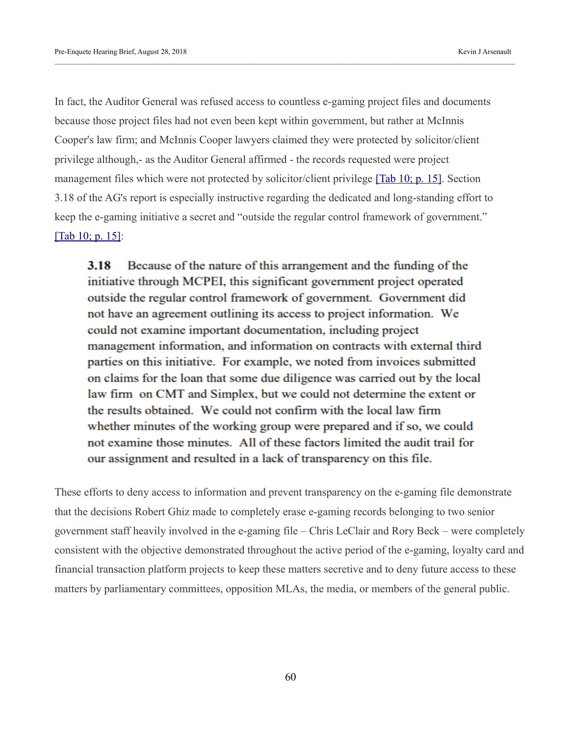In fact, the Auditor General was refused access to countless e-gaming project files and documents because those project files had not even been kept within government, but rather at McInnis Cooper's law firm; and McInnis Cooper lawyers claimed they were protected by solicitor/client privilege although,- as the Auditor General affirmed - the records requested were project management files which were not protected by solicitor/client privilege [\[Tab 10; p. 15\].](https://kja321.files.wordpress.com/2018/08/tab-10-auditor-general-report-on-egaming.pdf) Section 3.18 of the AG's report is especially instructive regarding the dedicated and long-standing effort to keep the e-gaming initiative a secret and "outside the regular control framework of government." [\[Tab 10; p. 15\]:](https://kja321.files.wordpress.com/2018/08/tab-10-auditor-general-report-on-egaming.pdf)

3.18 Because of the nature of this arrangement and the funding of the initiative through MCPEI, this significant government project operated outside the regular control framework of government. Government did not have an agreement outlining its access to project information. We could not examine important documentation, including project management information, and information on contracts with external third parties on this initiative. For example, we noted from invoices submitted on claims for the loan that some due diligence was carried out by the local law firm on CMT and Simplex, but we could not determine the extent or the results obtained. We could not confirm with the local law firm whether minutes of the working group were prepared and if so, we could not examine those minutes. All of these factors limited the audit trail for our assignment and resulted in a lack of transparency on this file.

These efforts to deny access to information and prevent transparency on the e-gaming file demonstrate that the decisions Robert Ghiz made to completely erase e-gaming records belonging to two senior government staff heavily involved in the e-gaming file – Chris LeClair and Rory Beck – were completely consistent with the objective demonstrated throughout the active period of the e-gaming, loyalty card and financial transaction platform projects to keep these matters secretive and to deny future access to these matters by parliamentary committees, opposition MLAs, the media, or members of the general public.